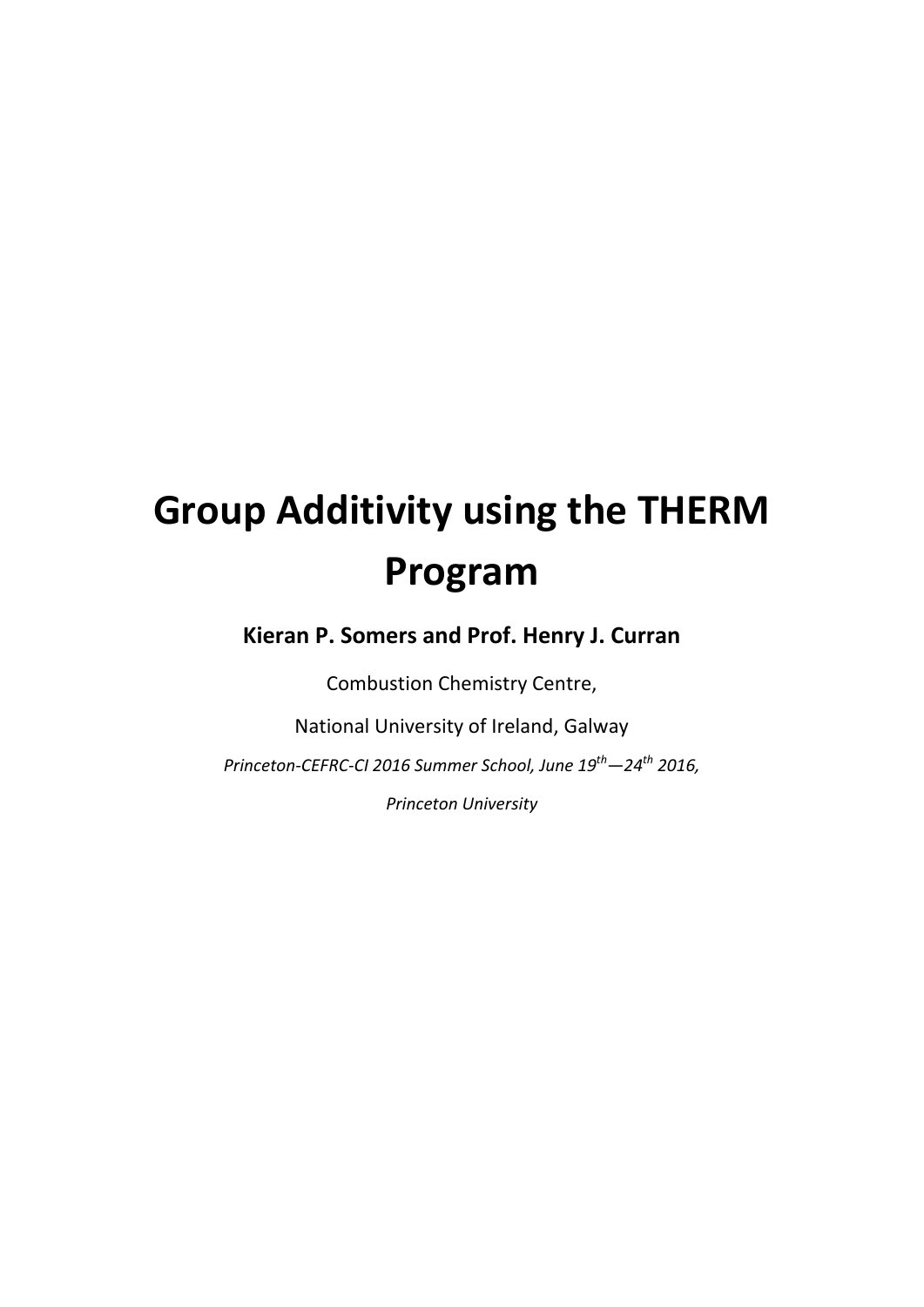# **Group Additivity using the THERM Program**

**Kieran P. Somers and Prof. Henry J. Curran**

Combustion Chemistry Centre,

National University of Ireland, Galway

*Princeton‐CEFRC‐CI 2016 Summer School, June 19th—24th 2016,* 

*Princeton University*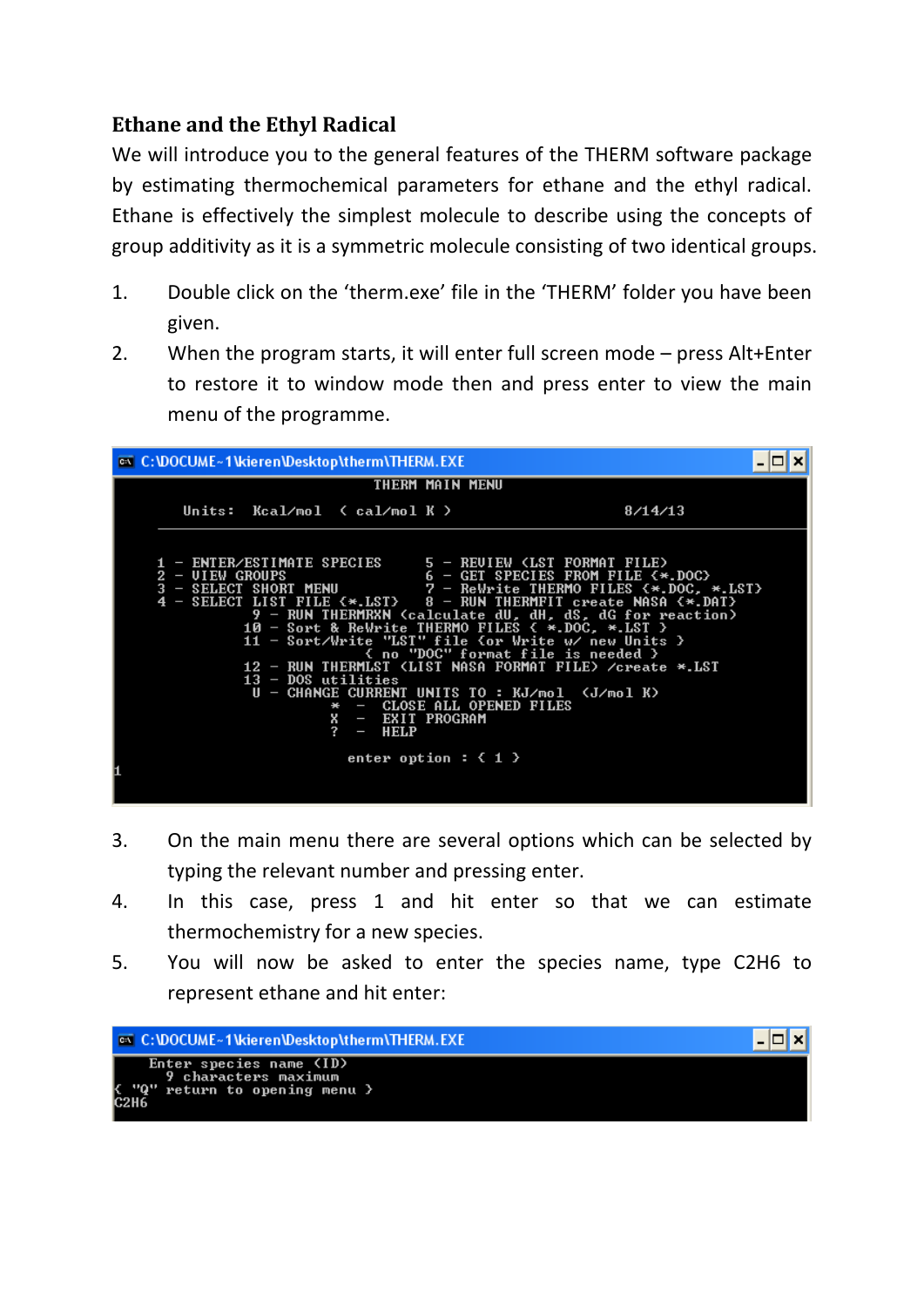## **Ethane and the Ethyl Radical**

We will introduce you to the general features of the THERM software package by estimating thermochemical parameters for ethane and the ethyl radical. Ethane is effectively the simplest molecule to describe using the concepts of group additivity as it is a symmetric molecule consisting of two identical groups.

- 1. Double click on the 'therm.exe' file in the 'THERM' folder you have been given.
- 2. When the program starts, it will enter full screen mode press Alt+Enter to restore it to window mode then and press enter to view the main menu of the programme.



- 3. On the main menu there are several options which can be selected by typing the relevant number and pressing enter.
- 4. In this case, press 1 and hit enter so that we can estimate thermochemistry for a new species.
- 5. You will now be asked to enter the species name, type C2H6 to represent ethane and hit enter:

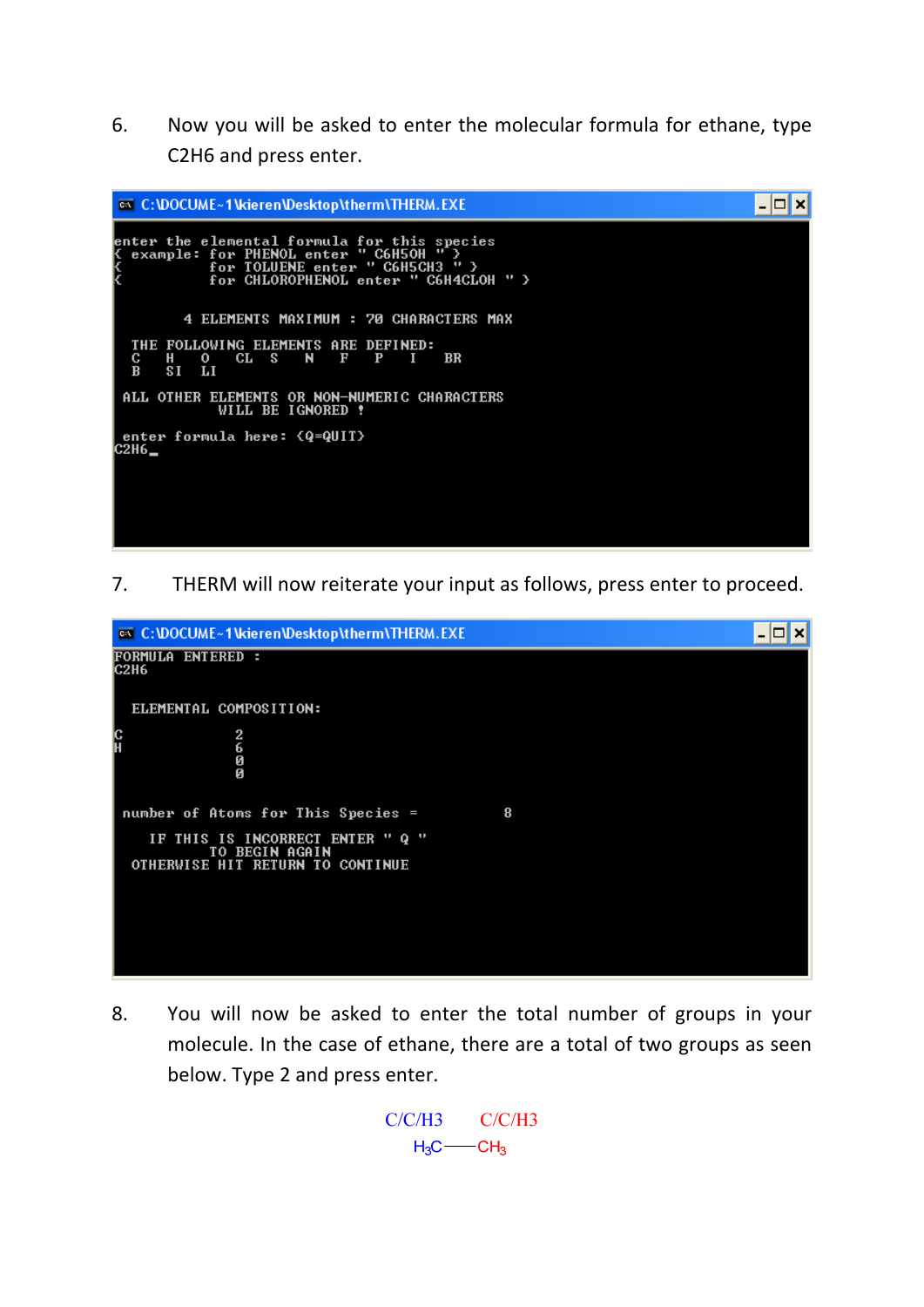6. Now you will be asked to enter the molecular formula for ethane, type C2H6 and press enter.



7. THERM will now reiterate your input as follows, press enter to proceed.



8. You will now be asked to enter the total number of groups in your molecule. In the case of ethane, there are a total of two groups as seen below. Type 2 and press enter.

> $C/C/H3$  $C/C/H3$  $H_3C$  -  $CH_3$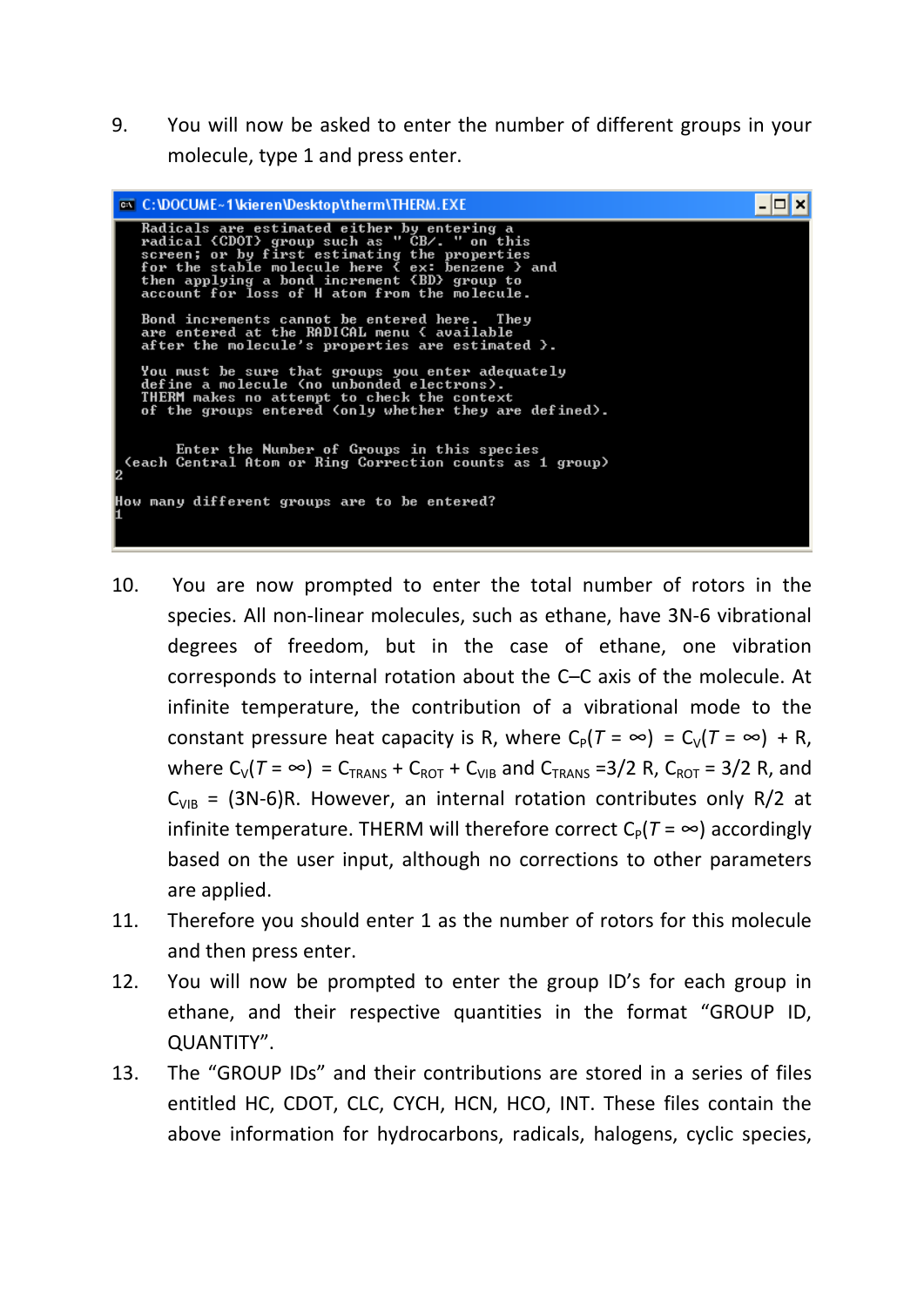9. You will now be asked to enter the number of different groups in your molecule, type 1 and press enter.

| <b>EX</b> C: \DOCUME ~ 1 \\Rieren\Desktop\therm\THERM.EXE                                                                                                                                                                                                                                          |  |
|----------------------------------------------------------------------------------------------------------------------------------------------------------------------------------------------------------------------------------------------------------------------------------------------------|--|
| Radicals are estimated either by entering a<br>radical {CDOT} group such as " CB/. " on this<br>screen; or by first estimating the properties<br>for the stable molecule here { ex: benzene } and<br>then applying a bond increment {BD} group to<br>account for loss of H atom from the molecule. |  |
| Bond increments cannot be entered here. They<br>are entered at the RADICAL menu { available<br>after the molecule's properties are estimated $\lambda$ .                                                                                                                                           |  |
| You must be sure that groups you enter adequately<br>define a molecule (no unbonded electrons).<br>THERM makes no attempt to check the context<br>of the groups entered (only whether they are defined).                                                                                           |  |
| Enter the Number of Groups in this species<br>(each Central Atom or Ring Correction counts as 1 group)                                                                                                                                                                                             |  |
| How many different groups are to be entered?                                                                                                                                                                                                                                                       |  |

- 10. You are now prompted to enter the total number of rotors in the species. All non‐linear molecules, such as ethane, have 3N‐6 vibrational degrees of freedom, but in the case of ethane, one vibration corresponds to internal rotation about the C–C axis of the molecule. At infinite temperature, the contribution of a vibrational mode to the constant pressure heat capacity is R, where  $C_P(T = \infty) = C_V(T = \infty) + R$ , where  $C_V(T = \infty) = C_{TRANS} + C_{ROT} + C_{VIB}$  and  $C_{TRANS} = 3/2$  R,  $C_{ROT} = 3/2$  R, and  $C_{VIB}$  = (3N-6)R. However, an internal rotation contributes only R/2 at infinite temperature. THERM will therefore correct  $C_P(T = \infty)$  accordingly based on the user input, although no corrections to other parameters are applied.
- 11. Therefore you should enter 1 as the number of rotors for this molecule and then press enter.
- 12. You will now be prompted to enter the group ID's for each group in ethane, and their respective quantities in the format "GROUP ID, QUANTITY".
- 13. The "GROUP IDs" and their contributions are stored in a series of files entitled HC, CDOT, CLC, CYCH, HCN, HCO, INT. These files contain the above information for hydrocarbons, radicals, halogens, cyclic species,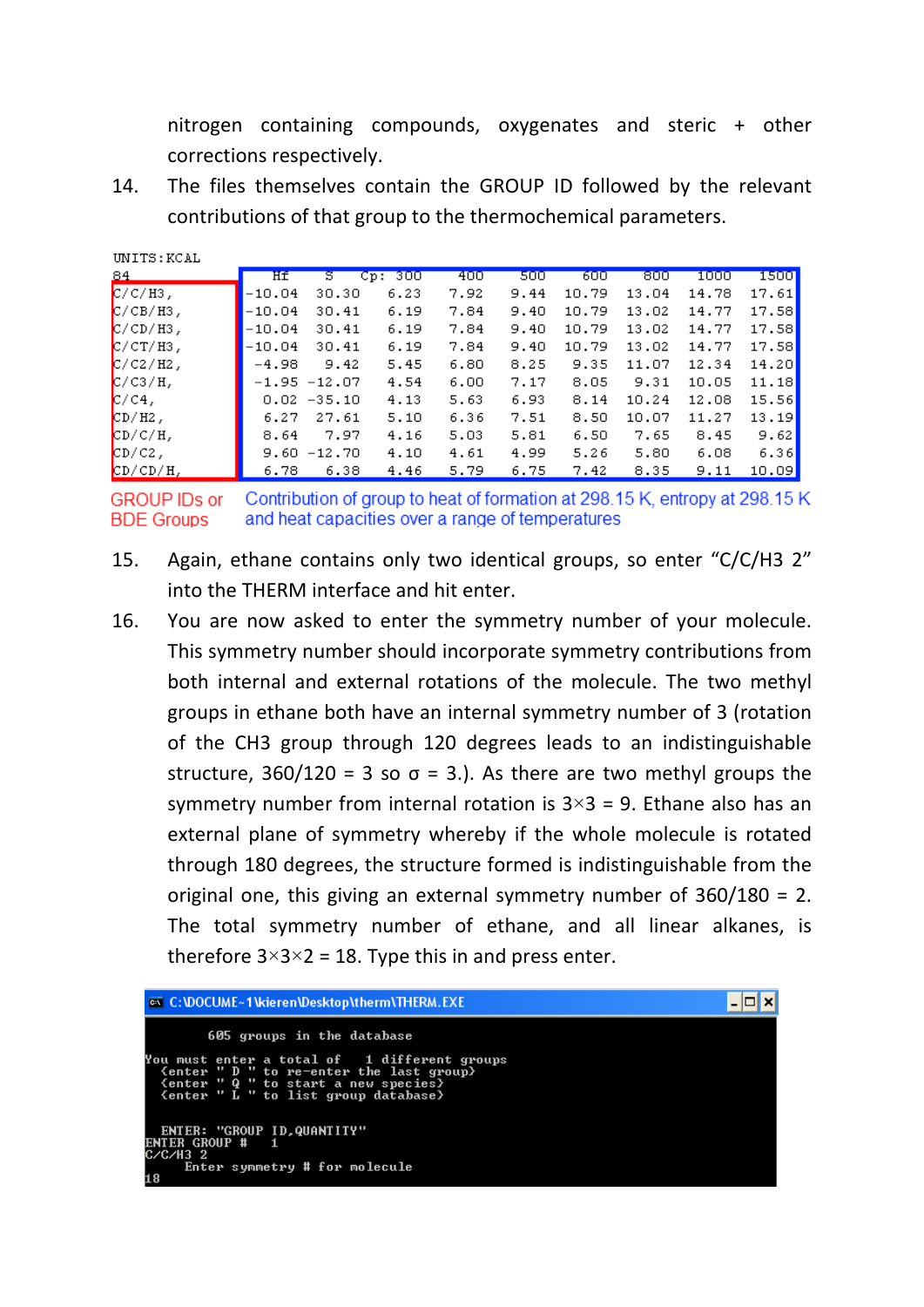nitrogen containing compounds, oxygenates and steric + other corrections respectively.

14. The files themselves contain the GROUP ID followed by the relevant contributions of that group to the thermochemical parameters.

| UNITS:KCAL  |          |                |         |      |      |       |       |       |       |
|-------------|----------|----------------|---------|------|------|-------|-------|-------|-------|
| 84          | Hf       | s              | Cp: 300 | 400  | 500  | 600   | 800   | 1000  | 15001 |
| $C/C/H3$ ,  | $-10.04$ | 30.30          | 6.23    | 7.92 | 9.44 | 10.79 | 13.04 | 14.78 | 17.61 |
| $C/CB/H3$ , | $-10.04$ | 30.41          | 6.19    | 7.84 | 9.40 | 10.79 | 13.02 | 14.77 | 17.58 |
| $C/CD/H3$ , | $-10.04$ | 30.41          | 6.19    | 7.84 | 9.40 | 10.79 | 13.02 | 14.77 | 17.58 |
| $C/CT/H3$ , | $-10.04$ | 30.41          | 6.19    | 7.84 | 9.40 | 10.79 | 13.02 | 14.77 | 17.58 |
| $C/C2/Hz$ , | $-4.98$  | 9.42           | 5.45    | 6.80 | 8.25 | 9.35  | 11.07 | 12.34 | 14.20 |
| $C/C3/H$ ,  |          | $-1.95 -12.07$ | 4.54    | 6.00 | 7.17 | 8.05  | 9.31  | 10.05 | 11.18 |
| $C/C4$ ,    |          | $0.02 - 35.10$ | 4.13    | 5.63 | 6.93 | 8.14  | 10.24 | 12.08 | 15.56 |
| $CD/HZ$ ,   | 6.27     | 27.61          | 5.10    | 6.36 | 7.51 | 8.50  | 10.07 | 11.27 | 13.19 |
| $CD/C/H$ ,  | 8.64     | 7.97           | 4.16    | 5.03 | 5.81 | 6.50  | 7.65  | 8.45  | 9.62  |
| $CD/C2$ ,   |          | $9.60 - 12.70$ | 4.10    | 4.61 | 4.99 | 5.26  | 5.80  | 6.08  | 6.36  |
| $CD/CD/H$ , | 6.78     | 6.38           | 4.46    | 5.79 | 6.75 | 7.42  | 8.35  | 9.11  | 10.09 |

Contribution of group to heat of formation at 298.15 K, entropy at 298.15 K **GROUP IDs or BDE Groups** and heat capacities over a range of temperatures

- 15. Again, ethane contains only two identical groups, so enter "C/C/H3 2" into the THERM interface and hit enter.
- 16. You are now asked to enter the symmetry number of your molecule. This symmetry number should incorporate symmetry contributions from both internal and external rotations of the molecule. The two methyl groups in ethane both have an internal symmetry number of 3 (rotation of the CH3 group through 120 degrees leads to an indistinguishable structure,  $360/120 = 3$  so  $\sigma = 3$ .). As there are two methyl groups the symmetry number from internal rotation is  $3\times3 = 9$ . Ethane also has an external plane of symmetry whereby if the whole molecule is rotated through 180 degrees, the structure formed is indistinguishable from the original one, this giving an external symmetry number of 360/180 = 2. The total symmetry number of ethane, and all linear alkanes, is therefore  $3\times3\times2 = 18$ . Type this in and press enter.

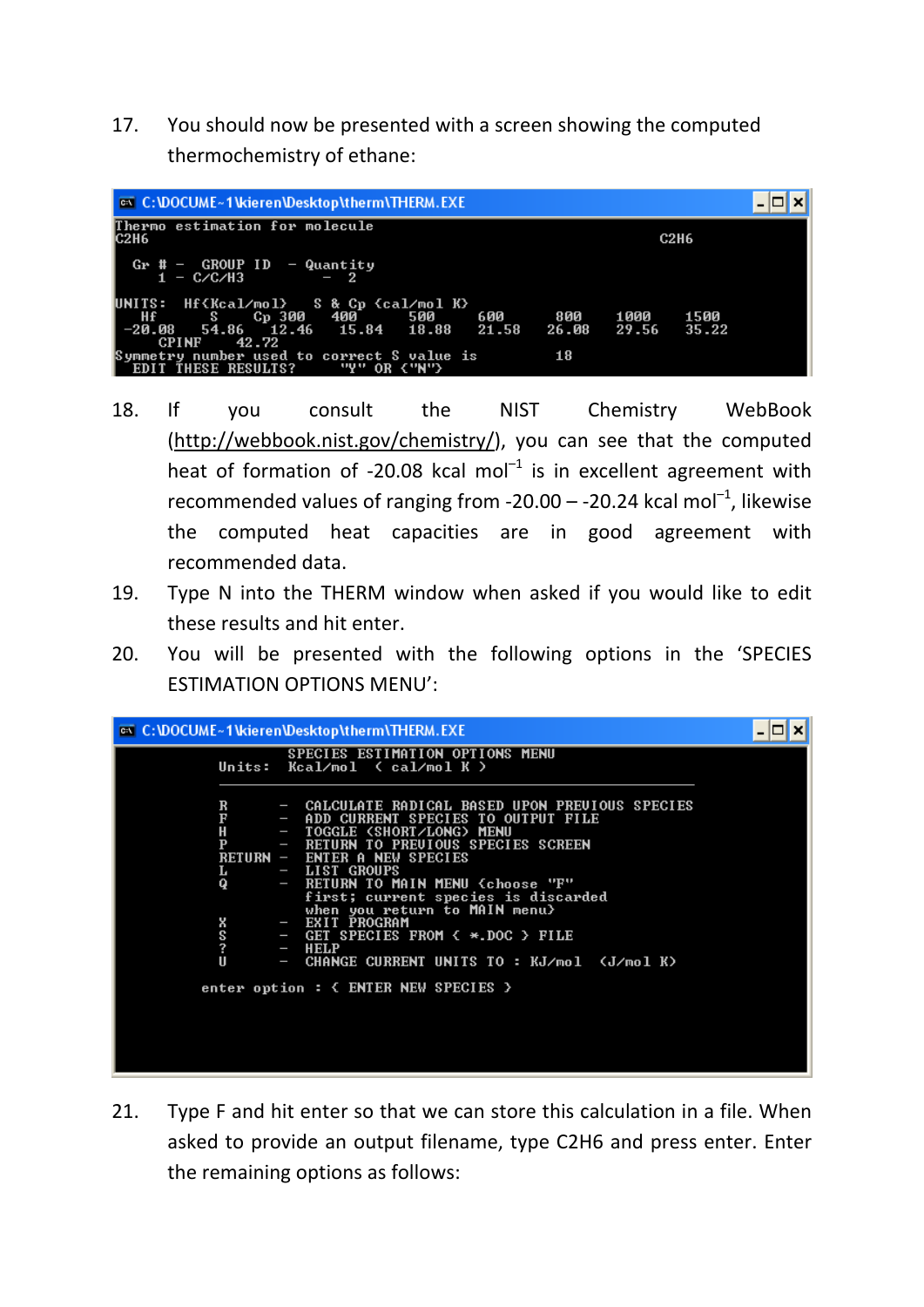17. You should now be presented with a screen showing the computed thermochemistry of ethane:



- 18. If you consult the NIST Chemistry WebBook (http://webbook.nist.gov/chemistry/), you can see that the computed heat of formation of  $-20.08$  kcal mol<sup>-1</sup> is in excellent agreement with recommended values of ranging from  $-20.00 - -20.24$  kcal mol<sup>-1</sup>, likewise the computed heat capacities are in good agreement with recommended data.
- 19. Type N into the THERM window when asked if you would like to edit these results and hit enter.
- 20. You will be presented with the following options in the 'SPECIES ESTIMATION OPTIONS MENU':

| <sup>on</sup> C: \DOCUME~1\kieren\Desktop\therm\THERM.EXE                                                                                                                                                                                                                                        |  |
|--------------------------------------------------------------------------------------------------------------------------------------------------------------------------------------------------------------------------------------------------------------------------------------------------|--|
| SPECIES ESTIMATION OPTIONS MENU<br>Units: $Kca1/mol$ ( $ca1/mol$ K )                                                                                                                                                                                                                             |  |
| - CALCULATE RADICAL BASED UPON PREUIOUS SPECIES<br>R<br>F<br>- ADD CURRENT SPECIES TO OUTPUT FILE<br>Н<br>- TOGGLE (SHORT/LONG) MENU<br>P<br>RETURN TO PREUIOUS SPECIES SCREEN<br>$\sim$<br>RETURN - ENTER A NEW SPECIES<br>- LIST GROUPS<br>L                                                   |  |
| - RETURN TO MAIN MENU (choose "F"<br>Q<br>first; current species is discarded<br>when you return to MAIN menu><br>- EXIT PROGRAM<br>x<br>S<br>- GET SPECIES FROM $\left\{ \begin{array}{c} \ast \end{array} \right\}$ pile<br>?<br>$-$ HELP<br>Ш<br>- CHANGE CURRENT UNITS TO : KJ/mol 〈J/mol K〉 |  |
| enter option : $\langle$ ENTER NEW SPECIES $\rangle$                                                                                                                                                                                                                                             |  |

21. Type F and hit enter so that we can store this calculation in a file. When asked to provide an output filename, type C2H6 and press enter. Enter the remaining options as follows: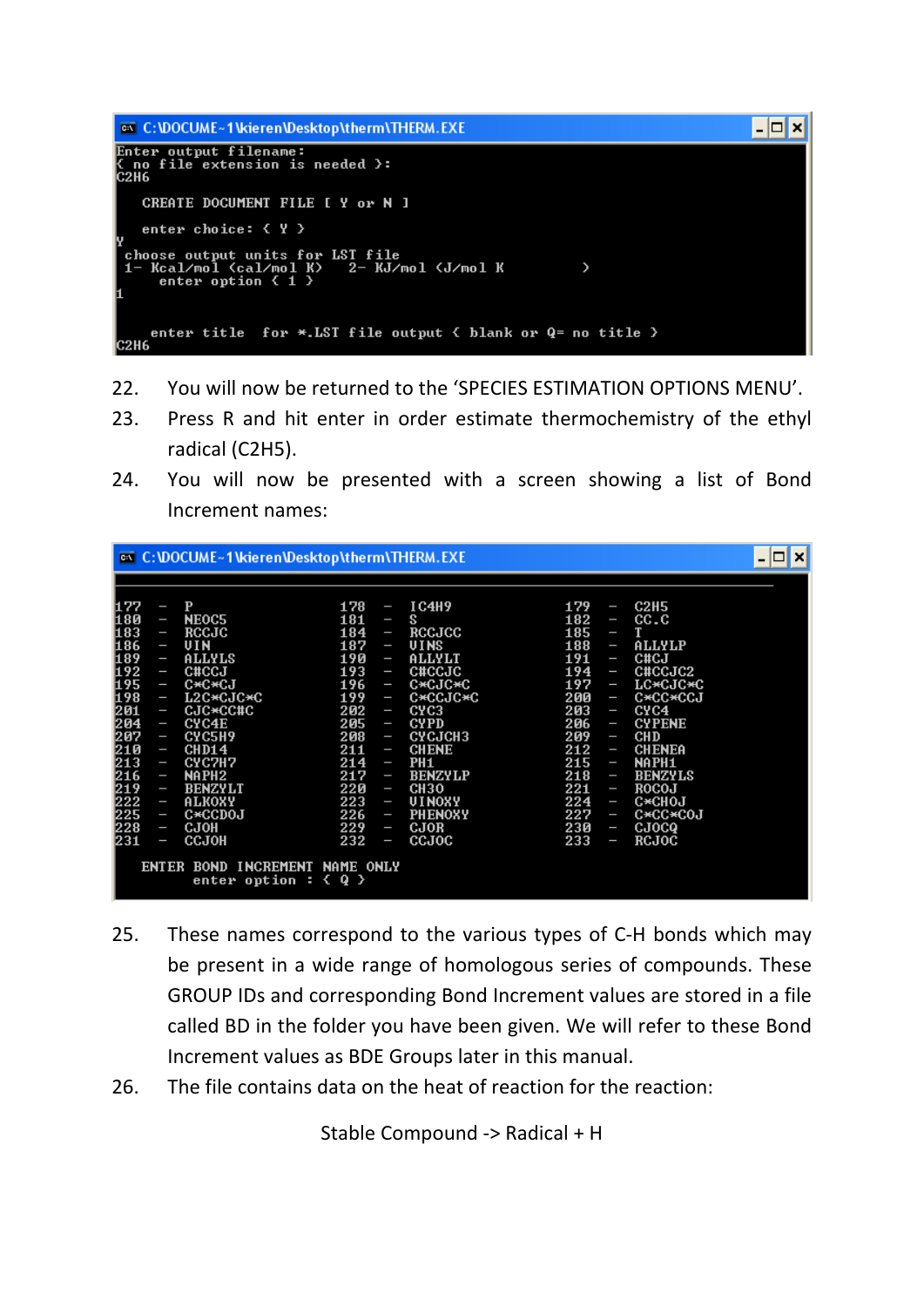

- 22. You will now be returned to the 'SPECIES ESTIMATION OPTIONS MENU'.
- 23. Press R and hit enter in order estimate thermochemistry of the ethyl radical (C2H5).
- 24. You will now be presented with a screen showing a list of Bond Increment names:

- 25. These names correspond to the various types of C‐H bonds which may be present in a wide range of homologous series of compounds. These GROUP IDs and corresponding Bond Increment values are stored in a file called BD in the folder you have been given. We will refer to these Bond Increment values as BDE Groups later in this manual.
- 26. The file contains data on the heat of reaction for the reaction:

Stable Compound ‐> Radical + H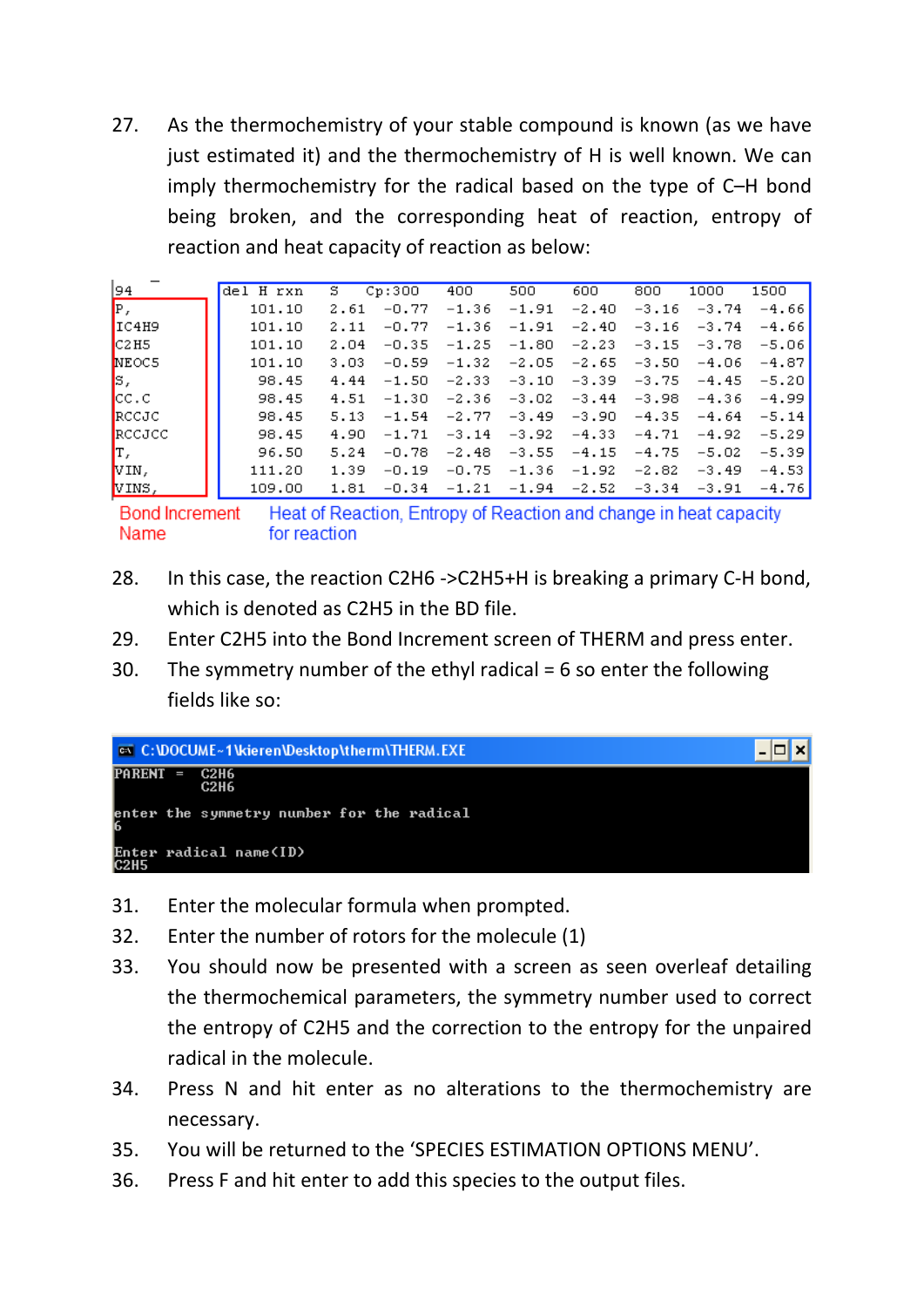27. As the thermochemistry of your stable compound is known (as we have just estimated it) and the thermochemistry of H is well known. We can imply thermochemistry for the radical based on the type of C–H bond being broken, and the corresponding heat of reaction, entropy of reaction and heat capacity of reaction as below:

| 94                      | del H rxn | s.   | Cp:300  | 400     | 500     | 600     | 800     | 1000    | 1500    |
|-------------------------|-----------|------|---------|---------|---------|---------|---------|---------|---------|
| P,                      | 101.10    | 2.61 | $-0.77$ | $-1.36$ | $-1.91$ | $-2.40$ | $-3.16$ | $-3.74$ | $-4.66$ |
| IIC4H9                  | 101.10    | 2.11 | $-0.77$ | $-1.36$ | $-1.91$ | $-2.40$ | $-3.16$ | $-3.74$ | $-4.66$ |
| CCHS                    | 101.10    | 2.04 | $-0.35$ | $-1.25$ | $-1.80$ | $-2.23$ | $-3.15$ | $-3.78$ | $-5.06$ |
| <b>NEOC5</b>            | 101.10    | 3.03 | $-0.59$ | $-1.32$ | $-2.05$ | $-2.65$ | $-3.50$ | $-4.06$ | $-4.87$ |
| ß,                      | 98.45     | 4.44 | $-1.50$ | $-2.33$ | $-3.10$ | $-3.39$ | $-3.75$ | $-4.45$ | $-5.20$ |
| $ {\sf CC}$ , ${\sf C}$ | 98.45     | 4.51 | $-1.30$ | $-2.36$ | $-3.02$ | $-3.44$ | $-3.98$ | $-4.36$ | $-4.99$ |
| <b>IRCCJC</b>           | 98.45     | 5.13 | $-1.54$ | $-2.77$ | $-3.49$ | $-3.90$ | $-4.35$ | $-4.64$ | $-5.14$ |
| <b>I</b> RCCJCC         | 98.45     | 4.90 | $-1.71$ | $-3.14$ | $-3.92$ | $-4.33$ | $-4.71$ | $-4.92$ | $-5.29$ |
| Iт,                     | 96.50     | 5.24 | $-0.78$ | $-2.48$ | $-3.55$ | $-4.15$ | $-4.75$ | $-5.02$ | $-5.39$ |
| VIN,                    | 111.20    | 1.39 | $-0.19$ | $-0.75$ | $-1.36$ | $-1.92$ | $-2.82$ | $-3.49$ | $-4.53$ |
| VINS,                   | 109.00    | 1.81 | $-0.34$ | $-1.21$ | $-1.94$ | $-2.52$ | $-3.34$ | $-3.91$ | $-4.76$ |

Heat of Reaction, Entropy of Reaction and change in heat capacity **Bond Increment** Name for reaction

- 28. In this case, the reaction C2H6 ‐>C2H5+H is breaking a primary C‐H bond, which is denoted as C2H5 in the BD file.
- 29. Enter C2H5 into the Bond Increment screen of THERM and press enter.
- 30. The symmetry number of the ethyl radical  $= 6$  so enter the following fields like so:



- 31. Enter the molecular formula when prompted.
- 32. Enter the number of rotors for the molecule (1)
- 33. You should now be presented with a screen as seen overleaf detailing the thermochemical parameters, the symmetry number used to correct the entropy of C2H5 and the correction to the entropy for the unpaired radical in the molecule.
- 34. Press N and hit enter as no alterations to the thermochemistry are necessary.
- 35. You will be returned to the 'SPECIES ESTIMATION OPTIONS MENU'.
- 36. Press F and hit enter to add this species to the output files.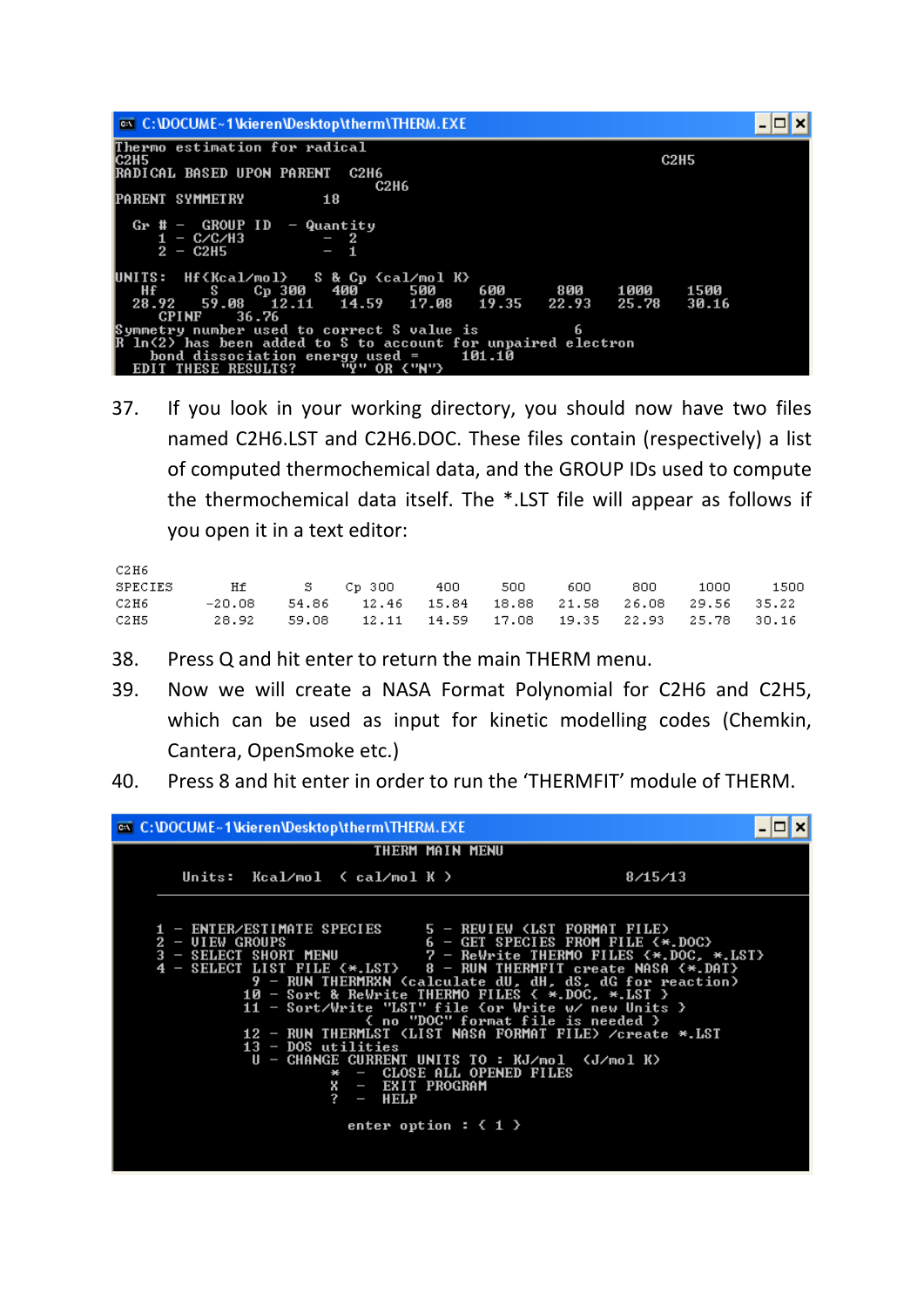| <b>EXEC: VOCUME ~ 1 Vrieren VDesktop \therm \THERM. EXE</b>             |        |       |             |       |  |
|-------------------------------------------------------------------------|--------|-------|-------------|-------|--|
| Thermo estimation for radical<br>IC2H5                                  |        |       | <b>C2H5</b> |       |  |
| RADICAL BASED UPON PARENT<br><b>C2H6</b><br><b>C2H6</b>                 |        |       |             |       |  |
| <b>PARENT SYMMETRY</b><br>18                                            |        |       |             |       |  |
| $# -$ GROUP ID $-$ Quantity<br>- C/C/H3<br>$-2$<br>1.<br>$2 - C2H5$     |        |       |             |       |  |
| UNITS: Hf{Kcal/mol} - S & Cp {cal/mol K}<br>Hf S Cp 300 400 500 600 800 |        |       | 1000        | 1500  |  |
| 59.08 12.11 14.59 17.08 19.35<br>28.92                                  |        | 22.93 | 25.78       | 30.16 |  |
| <b>CPINF</b><br>36.76                                                   |        |       |             |       |  |
| Symmetry number used to correct S value is                              |        | 6     |             |       |  |
| R ln(2) has been added to S to account for unpaired electron            |        |       |             |       |  |
| bond dissociation energy used =                                         | 101.10 |       |             |       |  |
| <b>EDIT THESE RESULTS?</b><br>"Y" OR {"N"}                              |        |       |             |       |  |

37. If you look in your working directory, you should now have two files named C2H6.LST and C2H6.DOC. These files contain (respectively) a list of computed thermochemical data, and the GROUP IDs used to compute the thermochemical data itself. The \*.LST file will appear as follows if you open it in a text editor:

| C2H6    |  |                                                          |         |      |     |      |      |
|---------|--|----------------------------------------------------------|---------|------|-----|------|------|
| SPECIES |  | $Hf$ $\sim$ $S$ Cp 300                                   | 400 500 | 600. | 800 | 1000 | 1500 |
| C2H6    |  | $-20.08$ 54.86 12.46 15.84 18.88 21.58 26.08 29.56 35.22 |         |      |     |      |      |
| C2H5    |  | 28.92 59.08 12.11 14.59 17.08 19.35 22.93 25.78 30.16    |         |      |     |      |      |

- 38. Press Q and hit enter to return the main THERM menu.
- 39. Now we will create a NASA Format Polynomial for C2H6 and C2H5, which can be used as input for kinetic modelling codes (Chemkin, Cantera, OpenSmoke etc.)
- 40. Press 8 and hit enter in order to run the 'THERMFIT' module of THERM.

| <b>EX C: \DOCUME ~ 1 \kieren\Desktop\therm\THERM.EXE</b>                                                                                                                                                                                                                                                                                                                                                                                                                                                                                                            |                                                                                                                                                                                                                                                             |
|---------------------------------------------------------------------------------------------------------------------------------------------------------------------------------------------------------------------------------------------------------------------------------------------------------------------------------------------------------------------------------------------------------------------------------------------------------------------------------------------------------------------------------------------------------------------|-------------------------------------------------------------------------------------------------------------------------------------------------------------------------------------------------------------------------------------------------------------|
| THERM MAIN MENU                                                                                                                                                                                                                                                                                                                                                                                                                                                                                                                                                     |                                                                                                                                                                                                                                                             |
| Units: $Kca1/mol$ ( $ca1/mol$ K )                                                                                                                                                                                                                                                                                                                                                                                                                                                                                                                                   | 8/15/13                                                                                                                                                                                                                                                     |
| 1 - ENTER/ESTIMATE SPECIES 5 - REUIEW (LST FORMAT FILE)<br>$2 - \text{UIEW}$ GROUPS<br>$\overline{3}$ - SELECT SHORT MENU $\overline{7}$ - Rewrite THERMO FILES $\leftrightarrow$ DOC, $\ast$ LST><br>$4$ - SELECT LIST FILE $\leftrightarrow$ LST $>$ 8 - RUN THERMFIT create NASA $\leftrightarrow$ DAT $>$<br>10 - Sort & ReWrite THERMO FILES $\langle$ *.DOC, *.LST $\rangle$<br>$13 - DOS$ utilities<br>U - CHANGE CURRENT UNITS TO : KJ/mol 〈J/mol K〉<br>- CLOSE ALL OPENED FILES<br>X - EXIT PROGRAM<br>?<br>$-$ HELP<br>enter option : $\langle 1 \rangle$ | $6 - GET SPECIES FROM FILE < \star.DOC$<br>9 - RUN THERMRXN (calculate dU, dH, dS, dG for reaction)<br>11 - Sort/Write "LST" file (or Write w/ new Units ><br>{ no "DOC" format file is needed }<br>12 - RUN THERMLST (LIST NASA FORMAT FILE) /create *.LST |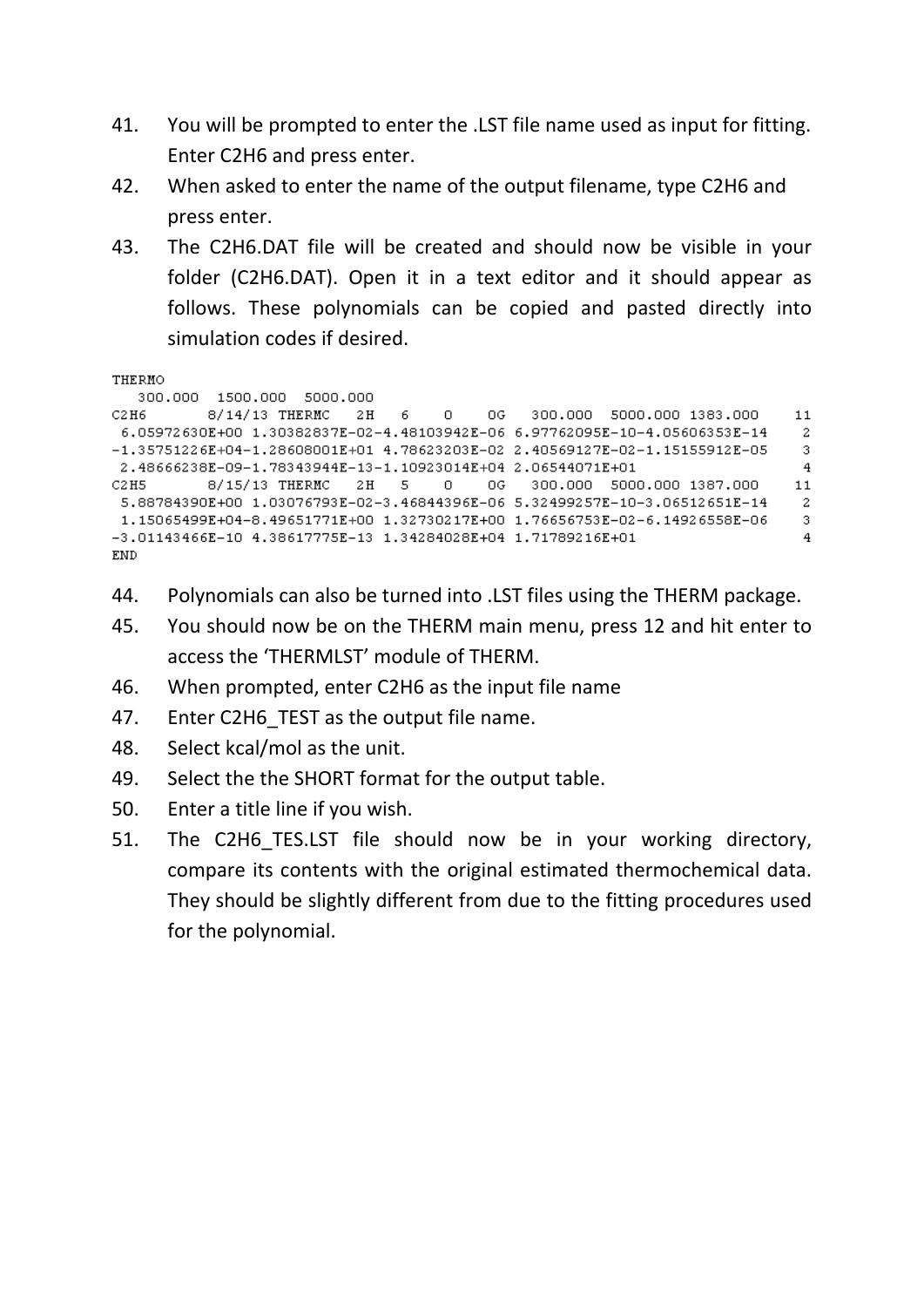- 41. You will be prompted to enter the .LST file name used as input for fitting. Enter C2H6 and press enter.
- 42. When asked to enter the name of the output filename, type C2H6 and press enter.
- 43. The C2H6.DAT file will be created and should now be visible in your folder (C2H6.DAT). Open it in a text editor and it should appear as follows. These polynomials can be copied and pasted directly into simulation codes if desired.

```
THERMO
```

```
300.000 1500.000 5000.000
          8/14/13 THERMC 2H 6 0 0G 300.000 5000.000 1383.000
C2H6116.05972630E+00 1.30382837E-02-4.48103942E-06 6.97762095E-10-4.05606353E-14
                                                                               -2
-1.35751226E+04-1.28608001E+01 4.78623203E-02 2.40569127E-02-1.15155912E-05
                                                                               \overline{3}2.48666238E-09-1.78343944E-13-1.10923014E+04 2.06544071E+01
                                                                              \overline{4}8/15/13 THERMC 2H 5 0 0G 300.000 5000.000 1387.000
C2HS115.88784390E+00 1.03076793E-02-3.46844396E-06 5.32499257E-10-3.06512651E-14
                                                                              -2
1.15065499E+04-8.49651771E+00 1.32730217E+00 1.76656753E-02-6.14926558E-06
                                                                               3.
-3.01143466E-10 4.38617775E-13 1.34284028E+04 1.71789216E+01\overline{4}END.
```
- 44. Polynomials can also be turned into .LST files using the THERM package.
- 45. You should now be on the THERM main menu, press 12 and hit enter to access the 'THERMLST' module of THERM.
- 46. When prompted, enter C2H6 as the input file name
- 47. Enter C2H6 TEST as the output file name.
- 48. Select kcal/mol as the unit.
- 49. Select the the SHORT format for the output table.
- 50. Enter a title line if you wish.
- 51. The C2H6 TES.LST file should now be in your working directory, compare its contents with the original estimated thermochemical data. They should be slightly different from due to the fitting procedures used for the polynomial.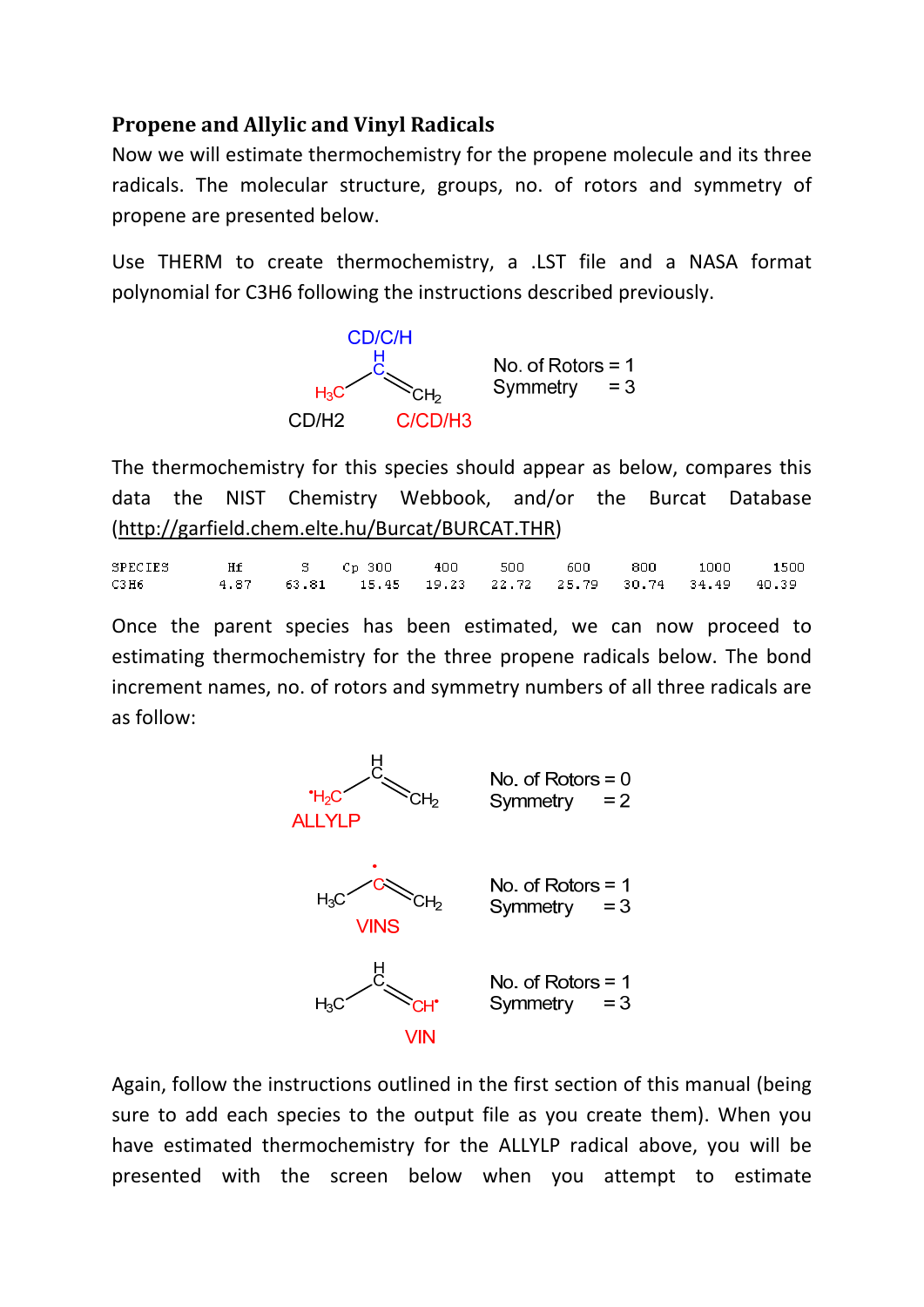### **Propene and Allylic and Vinyl Radicals**

Now we will estimate thermochemistry for the propene molecule and its three radicals. The molecular structure, groups, no. of rotors and symmetry of propene are presented below.

Use THERM to create thermochemistry, a .LST file and a NASA format polynomial for C3H6 following the instructions described previously.



The thermochemistry for this species should appear as below, compares this data the NIST Chemistry Webbook, and/or the Burcat Database (http://garfield.chem.elte.hu/Burcat/BURCAT.THR)

SPECIES Hf s. Cp 300 400 500 600 800 1000 1500 4.87 63.81  $C3H6$ 15.45 19.23 22.72 25.79 30.74 34.49 40.39

Once the parent species has been estimated, we can now proceed to estimating thermochemistry for the three propene radicals below. The bond increment names, no. of rotors and symmetry numbers of all three radicals are as follow:



Again, follow the instructions outlined in the first section of this manual (being sure to add each species to the output file as you create them). When you have estimated thermochemistry for the ALLYLP radical above, you will be presented with the screen below when you attempt to estimate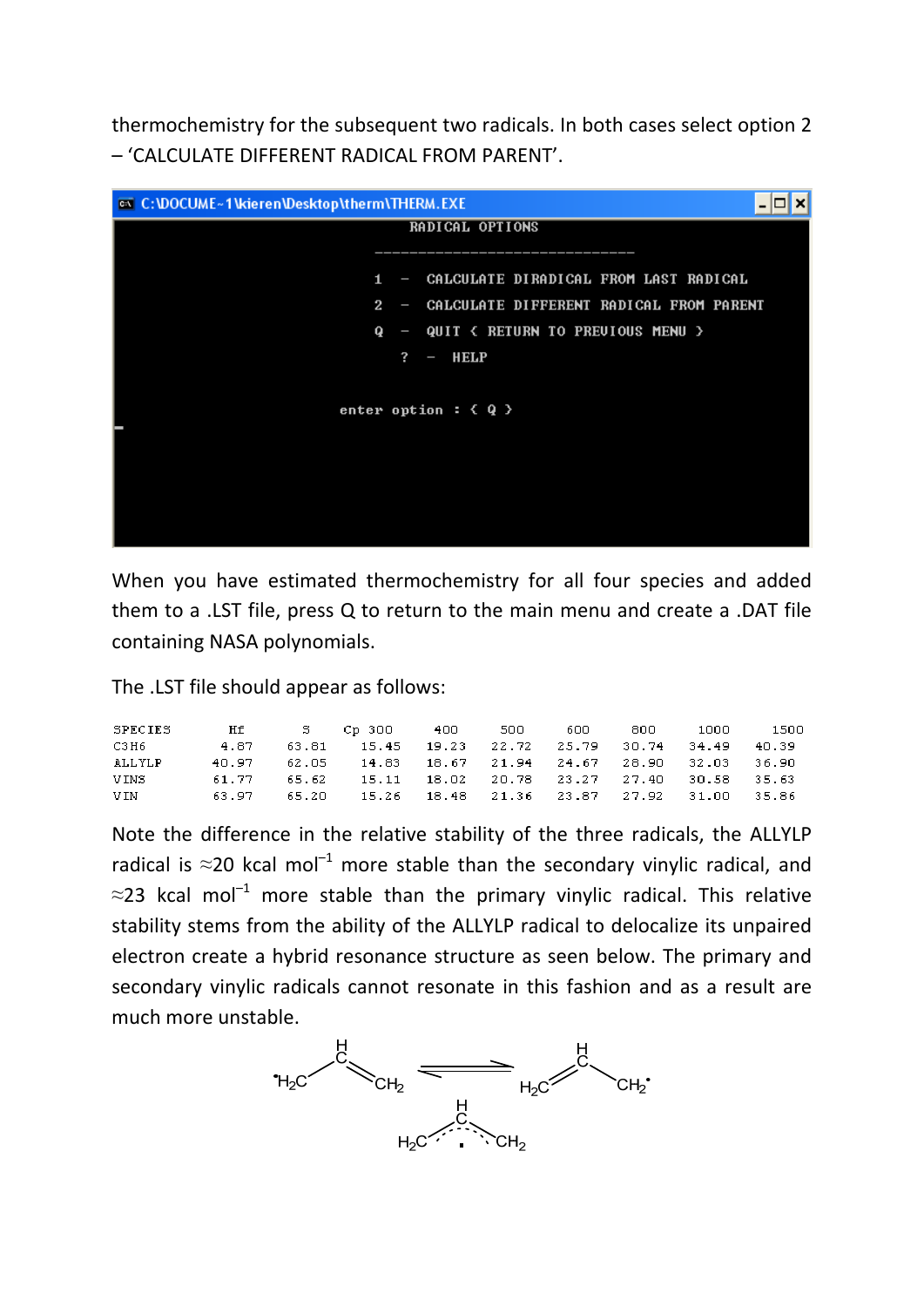thermochemistry for the subsequent two radicals. In both cases select option 2 – 'CALCULATE DIFFERENT RADICAL FROM PARENT'.

| @ C:\DOCUME~1\kieren\Desktop\therm\THERM.EXE |                                           |  |  |  |  |  |  |  |  |
|----------------------------------------------|-------------------------------------------|--|--|--|--|--|--|--|--|
|                                              | RADICAL OPTIONS                           |  |  |  |  |  |  |  |  |
|                                              |                                           |  |  |  |  |  |  |  |  |
| 1                                            | - CALCULATE DIRADICAL FROM LAST RADICAL   |  |  |  |  |  |  |  |  |
| $\mathbf{2}$                                 | - CALCULATE DIFFERENT RADICAL FROM PARENT |  |  |  |  |  |  |  |  |
| Q                                            | - QUIT < RETURN TO PREUIOUS MENU >        |  |  |  |  |  |  |  |  |
| ?                                            | $-$ HELP                                  |  |  |  |  |  |  |  |  |
|                                              |                                           |  |  |  |  |  |  |  |  |
|                                              | enter option : $\langle Q \rangle$        |  |  |  |  |  |  |  |  |
|                                              |                                           |  |  |  |  |  |  |  |  |
|                                              |                                           |  |  |  |  |  |  |  |  |
|                                              |                                           |  |  |  |  |  |  |  |  |
|                                              |                                           |  |  |  |  |  |  |  |  |
|                                              |                                           |  |  |  |  |  |  |  |  |

When you have estimated thermochemistry for all four species and added them to a .LST file, press Q to return to the main menu and create a .DAT file containing NASA polynomials.

The .LST file should appear as follows:

| SPECIES | Hf    | S Cp 300 400 500                                       |  | 600 - | 800. | 1000 | 1500  |
|---------|-------|--------------------------------------------------------|--|-------|------|------|-------|
| СЗН6    | 4.87  | 63.81  15.45  19.23  22.72  25.79  30.74  34.49  40.39 |  |       |      |      |       |
| ALLYLP  | 48.97 | 62.05 14.83 18.67 21.94 24.67 28.90 32.03 36.90        |  |       |      |      |       |
| VINS    | 61.77 | 65.62  15.11  18.02  20.78  23.27  27.40  30.58  35.63 |  |       |      |      |       |
| VIN     | 63.97 | 65.20 15.26 18.48 21.36 23.87 27.92 31.00              |  |       |      |      | 35.86 |

Note the difference in the relative stability of the three radicals, the ALLYLP radical is  $\approx$ 20 kcal mol<sup>-1</sup> more stable than the secondary vinylic radical, and  $\approx$ 23 kcal mol<sup>-1</sup> more stable than the primary vinylic radical. This relative stability stems from the ability of the ALLYLP radical to delocalize its unpaired electron create a hybrid resonance structure as seen below. The primary and secondary vinylic radicals cannot resonate in this fashion and as a result are much more unstable.

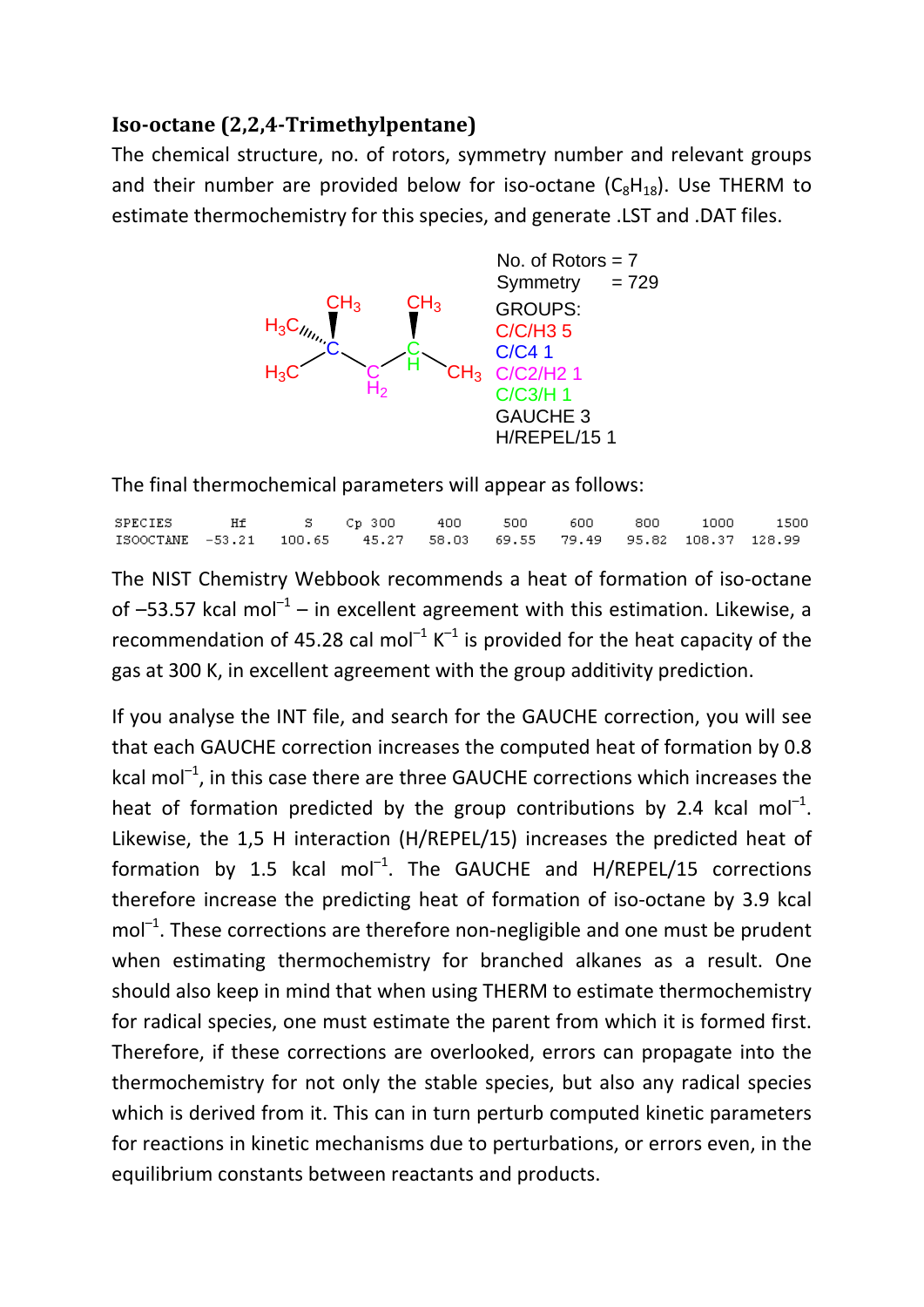#### **Iso‐octane (2,2,4‐Trimethylpentane)**

The chemical structure, no. of rotors, symmetry number and relevant groups and their number are provided below for iso-octane  $(C_8H_{18})$ . Use THERM to estimate thermochemistry for this species, and generate .LST and .DAT files.



The final thermochemical parameters will appear as follows:

|                                                                     |  |  |  |  | - 1500 |
|---------------------------------------------------------------------|--|--|--|--|--------|
| ISOOCTANE -53.21 100.65 45.27 58.03 69.55 79.49 95.82 108.37 128.99 |  |  |  |  |        |

The NIST Chemistry Webbook recommends a heat of formation of iso‐octane of  $-53.57$  kcal mol<sup>-1</sup> – in excellent agreement with this estimation. Likewise, a recommendation of 45.28 cal mol<sup>-1</sup> K<sup>-1</sup> is provided for the heat capacity of the gas at 300 K, in excellent agreement with the group additivity prediction.

If you analyse the INT file, and search for the GAUCHE correction, you will see that each GAUCHE correction increases the computed heat of formation by 0.8 kcal mol $^{-1}$ , in this case there are three GAUCHE corrections which increases the heat of formation predicted by the group contributions by 2.4 kcal mol<sup>-1</sup>. Likewise, the 1,5 H interaction (H/REPEL/15) increases the predicted heat of formation by 1.5 kcal mol<sup>-1</sup>. The GAUCHE and H/REPEL/15 corrections therefore increase the predicting heat of formation of iso‐octane by 3.9 kcal  $mol<sup>-1</sup>$ . These corrections are therefore non-negligible and one must be prudent when estimating thermochemistry for branched alkanes as a result. One should also keep in mind that when using THERM to estimate thermochemistry for radical species, one must estimate the parent from which it is formed first. Therefore, if these corrections are overlooked, errors can propagate into the thermochemistry for not only the stable species, but also any radical species which is derived from it. This can in turn perturb computed kinetic parameters for reactions in kinetic mechanisms due to perturbations, or errors even, in the equilibrium constants between reactants and products.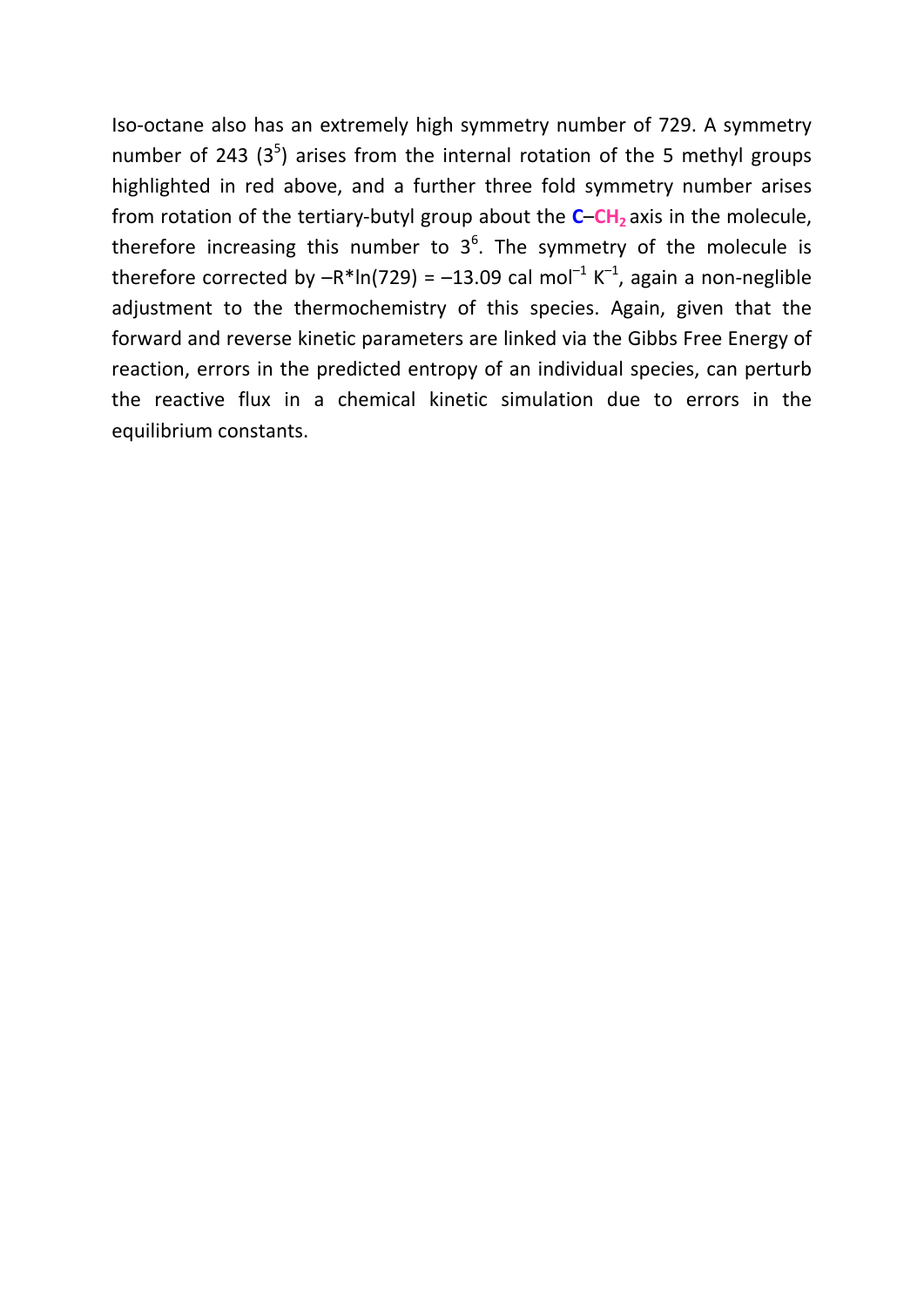Iso‐octane also has an extremely high symmetry number of 729. A symmetry number of 243  $(3^5)$  arises from the internal rotation of the 5 methyl groups highlighted in red above, and a further three fold symmetry number arises from rotation of the tertiary-butyl group about the **C–CH<sub>2</sub>** axis in the molecule, therefore increasing this number to  $3^6$ . The symmetry of the molecule is therefore corrected by  $-R^*ln(729) = -13.09$  cal mol<sup>-1</sup> K<sup>-1</sup>, again a non-neglible adjustment to the thermochemistry of this species. Again, given that the forward and reverse kinetic parameters are linked via the Gibbs Free Energy of reaction, errors in the predicted entropy of an individual species, can perturb the reactive flux in a chemical kinetic simulation due to errors in the equilibrium constants.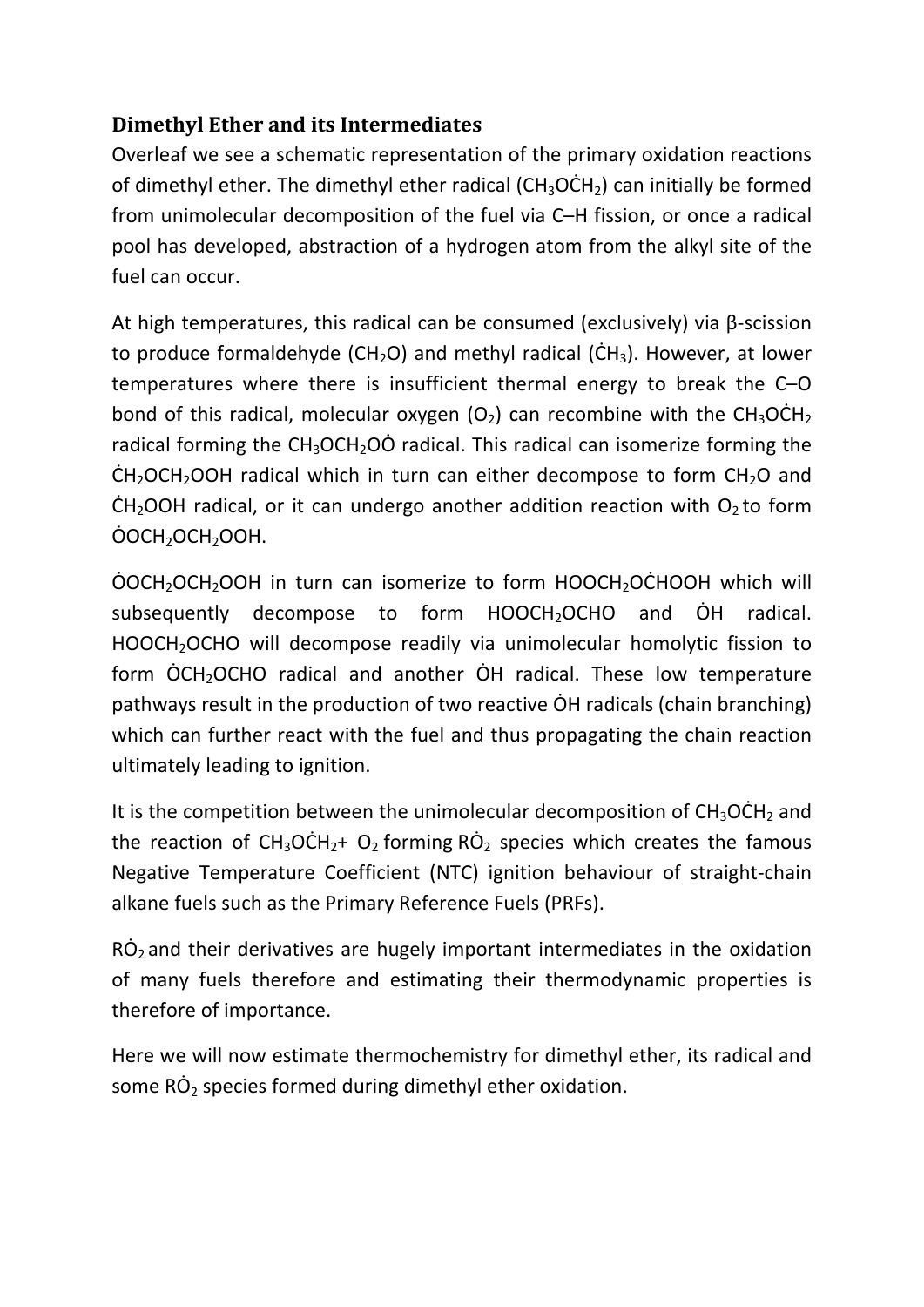### **Dimethyl Ether and its Intermediates**

Overleaf we see a schematic representation of the primary oxidation reactions of dimethyl ether. The dimethyl ether radical  $(CH_3OCH_2)$  can initially be formed from unimolecular decomposition of the fuel via C–H fission, or once a radical pool has developed, abstraction of a hydrogen atom from the alkyl site of the fuel can occur.

At high temperatures, this radical can be consumed (exclusively) via β‐scission to produce formaldehyde (CH<sub>2</sub>O) and methyl radical (CH<sub>3</sub>). However, at lower temperatures where there is insufficient thermal energy to break the C–O bond of this radical, molecular oxygen  $(O_2)$  can recombine with the CH<sub>3</sub>OCH<sub>2</sub> radical forming the  $CH_3OCH_2O\dot{O}$  radical. This radical can isomerize forming the  $CH<sub>2</sub>OCH<sub>2</sub>OOH$  radical which in turn can either decompose to form  $CH<sub>2</sub>O$  and  $CH<sub>2</sub>OOH$  radical, or it can undergo another addition reaction with  $O<sub>2</sub>$  to form ȮOCH2OCH2OOH.

 $\overline{O}$ OCH<sub>2</sub>OCH<sub>2</sub>OOH in turn can isomerize to form HOOCH<sub>2</sub>OCHOOH which will subsequently decompose to form  $HOOCH<sub>2</sub>OCHO$  and  $OH$  radical. HOOCH<sub>2</sub>OCHO will decompose readily via unimolecular homolytic fission to form OCH<sub>2</sub>OCHO radical and another OH radical. These low temperature pathways result in the production of two reactive OH radicals (chain branching) which can further react with the fuel and thus propagating the chain reaction ultimately leading to ignition.

It is the competition between the unimolecular decomposition of  $CH_3OCH_2$  and the reaction of  $CH_3OCH_2+ O_2$  forming RO<sub>2</sub> species which creates the famous Negative Temperature Coefficient (NTC) ignition behaviour of straight‐chain alkane fuels such as the Primary Reference Fuels (PRFs).

 $R\dot{O}_2$  and their derivatives are hugely important intermediates in the oxidation of many fuels therefore and estimating their thermodynamic properties is therefore of importance.

Here we will now estimate thermochemistry for dimethyl ether, its radical and some  $R\dot{O}_2$  species formed during dimethyl ether oxidation.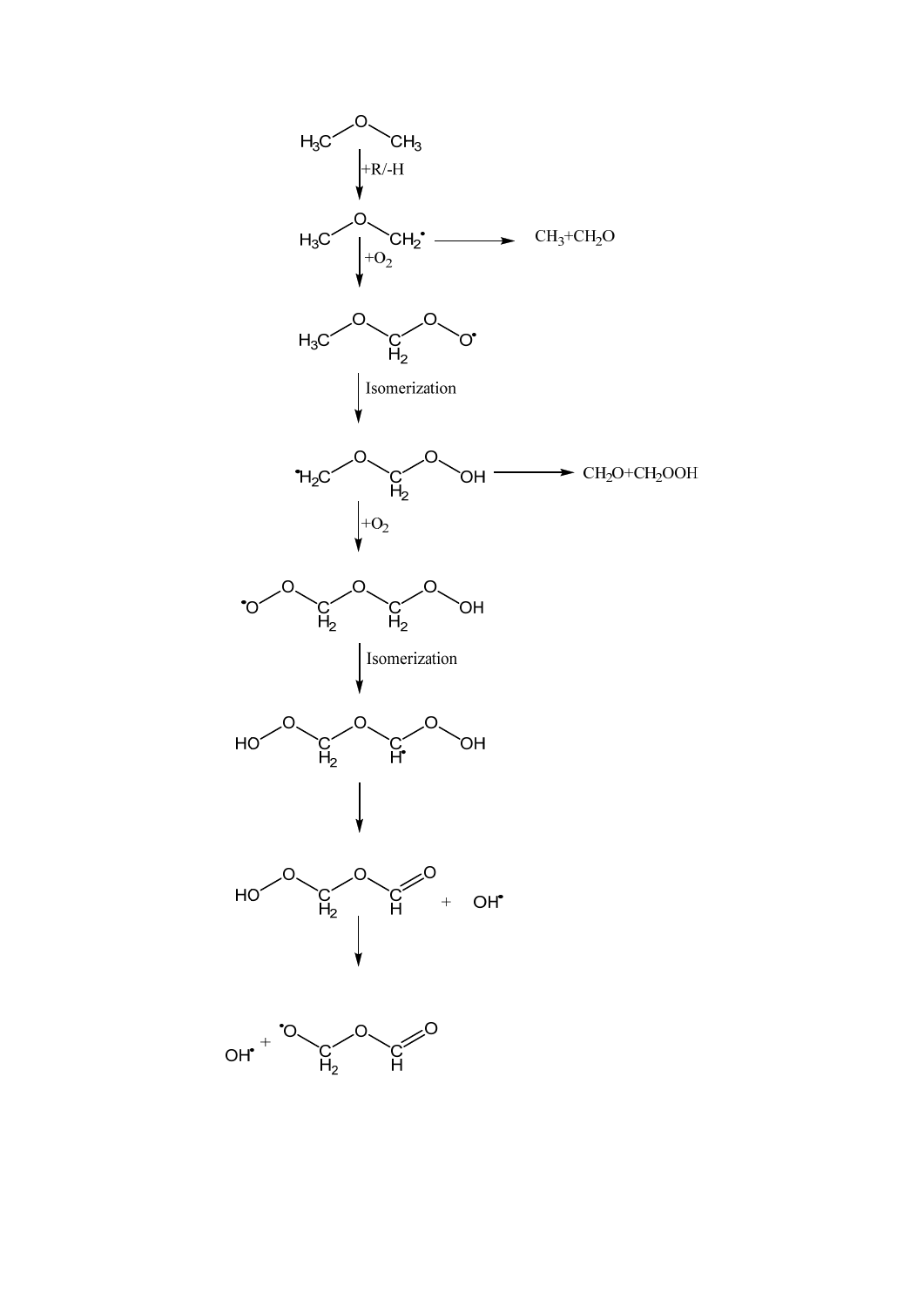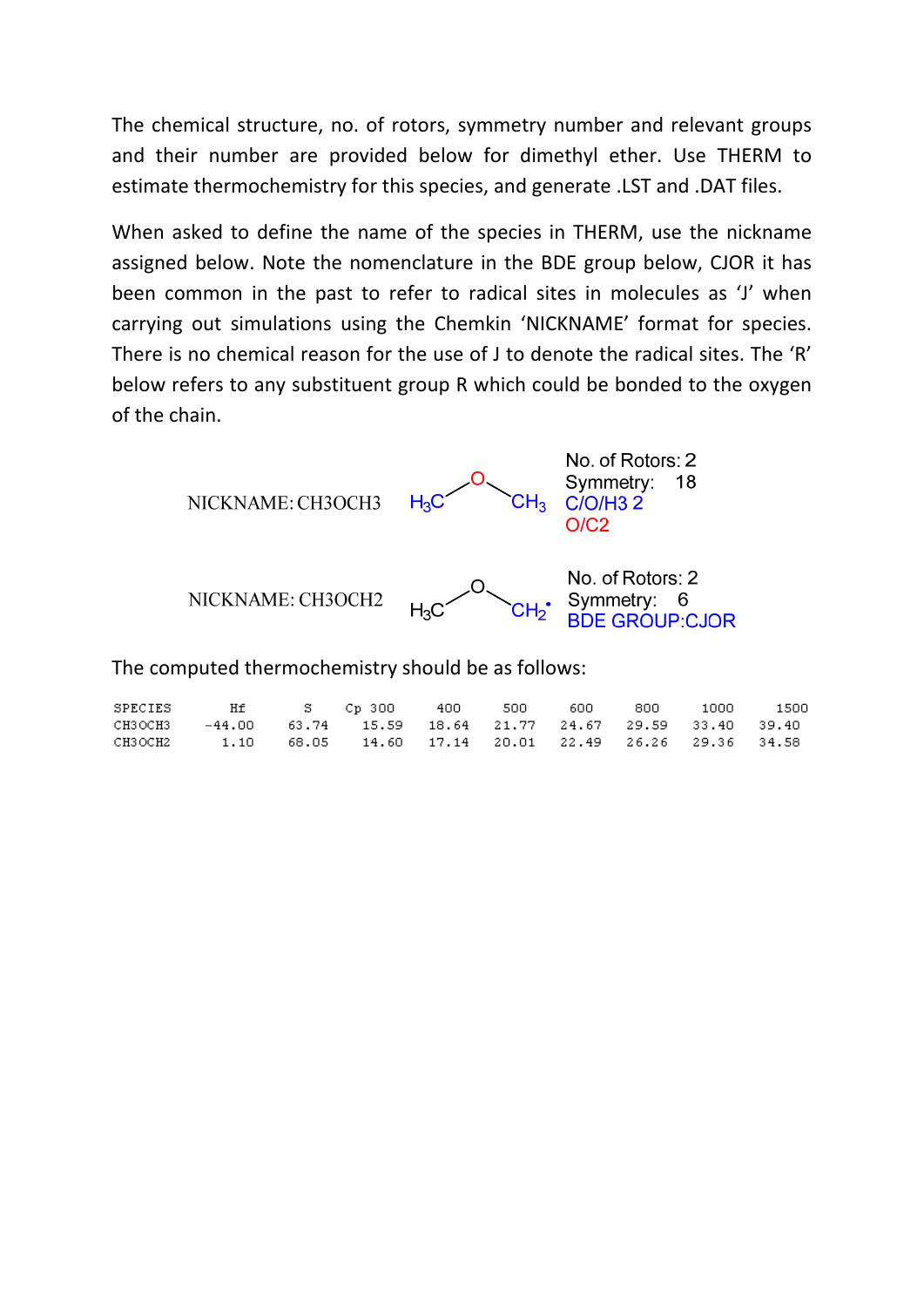The chemical structure, no. of rotors, symmetry number and relevant groups and their number are provided below for dimethyl ether. Use THERM to estimate thermochemistry for this species, and generate .LST and .DAT files.

When asked to define the name of the species in THERM, use the nickname assigned below. Note the nomenclature in the BDE group below, CJOR it has been common in the past to refer to radical sites in molecules as 'J' when carrying out simulations using the Chemkin 'NICKNAME' format for species. There is no chemical reason for the use of J to denote the radical sites. The 'R' below refers to any substituent group R which could be bonded to the oxygen of the chain.



The computed thermochemistry should be as follows:

| SPECIES |                                                              |                                                          |  | - 600 - | 800 | 1000 | 1500 |
|---------|--------------------------------------------------------------|----------------------------------------------------------|--|---------|-----|------|------|
| СНЗОСНЗ |                                                              | $-44.00$ 63.74 15.59 18.64 21.77 24.67 29.59 33.40 39.40 |  |         |     |      |      |
|         | CH3OCH2 1.10 68.05 14.60 17.14 20.01 22.49 26.26 29.36 34.58 |                                                          |  |         |     |      |      |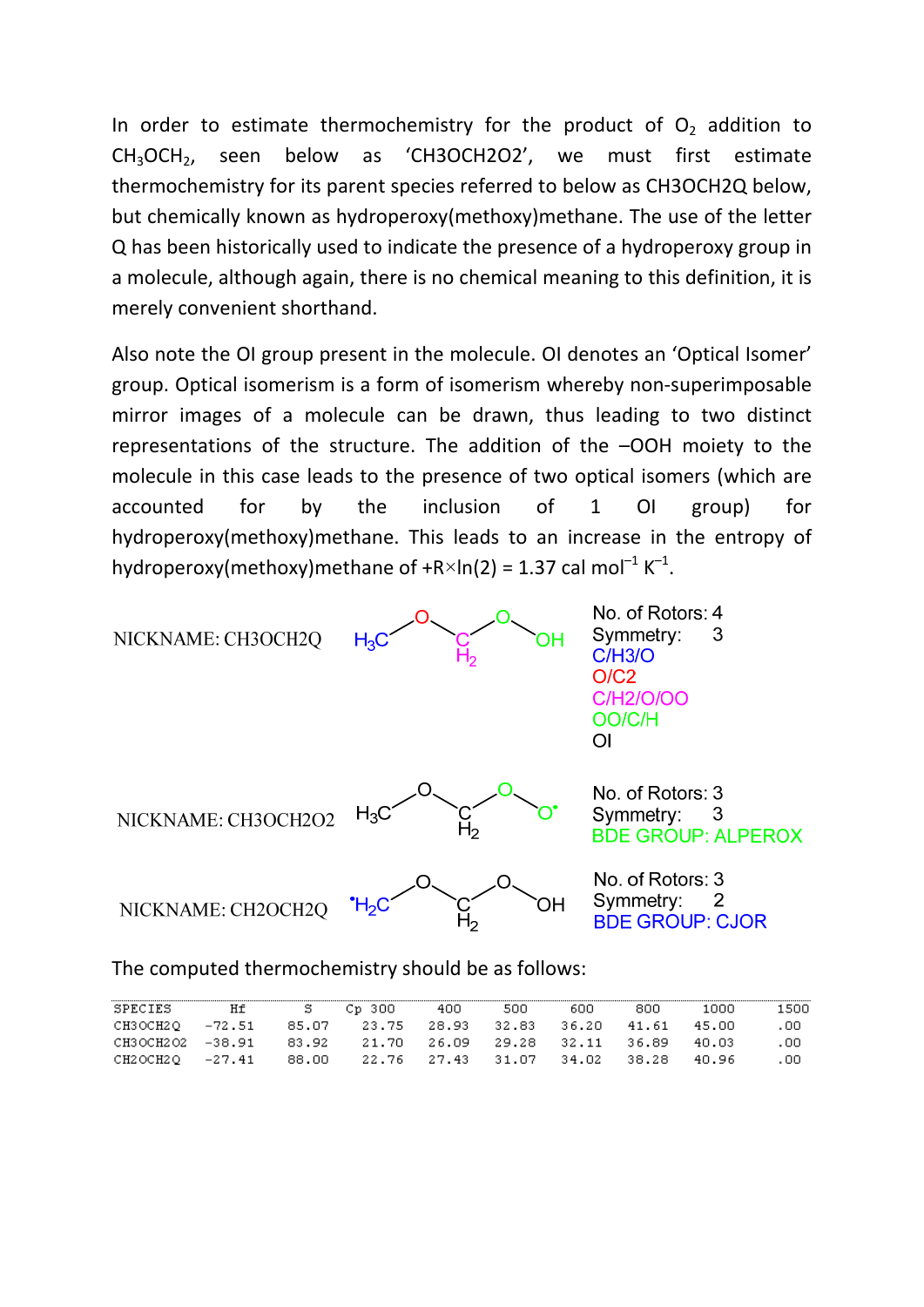In order to estimate thermochemistry for the product of  $O<sub>2</sub>$  addition to CH3OCH2, seen below as 'CH3OCH2O2', we must first estimate thermochemistry for its parent species referred to below as CH3OCH2Q below, but chemically known as hydroperoxy(methoxy)methane. The use of the letter Q has been historically used to indicate the presence of a hydroperoxy group in a molecule, although again, there is no chemical meaning to this definition, it is merely convenient shorthand.

Also note the OI group present in the molecule. OI denotes an 'Optical Isomer' group. Optical isomerism is a form of isomerism whereby non‐superimposable mirror images of a molecule can be drawn, thus leading to two distinct representations of the structure. The addition of the –OOH moiety to the molecule in this case leads to the presence of two optical isomers (which are accounted for by the inclusion of 1 OI group) for hydroperoxy(methoxy)methane. This leads to an increase in the entropy of hydroperoxy(methoxy)methane of  $+R\times ln(2) = 1.37$  cal mol<sup>-1</sup> K<sup>-1</sup>.



The computed thermochemistry should be as follows:

| <b>SPECIES</b>   | Нt | S.    | - Ср. 300 | 400                     | 500         | 600     | 800       | חחחו   | 1500. |
|------------------|----|-------|-----------|-------------------------|-------------|---------|-----------|--------|-------|
| CH3OCH2O -72.51  |    | 85.O7 | 23.75     | 28.93                   | 32.83       | - 36.20 | - 41.61   | -45.NO | . 00  |
| CH3OCH2O2 -38.91 |    | 83.92 |           | 21.70 26.09 29.28 32.11 |             |         | - 36.89 - | 40.03  | .00   |
| CH2OCH2O -27.41  |    | 88.OO |           | 22.76 27.43             | 31.07 34.02 |         | - 38.28   | 40.96  | .00   |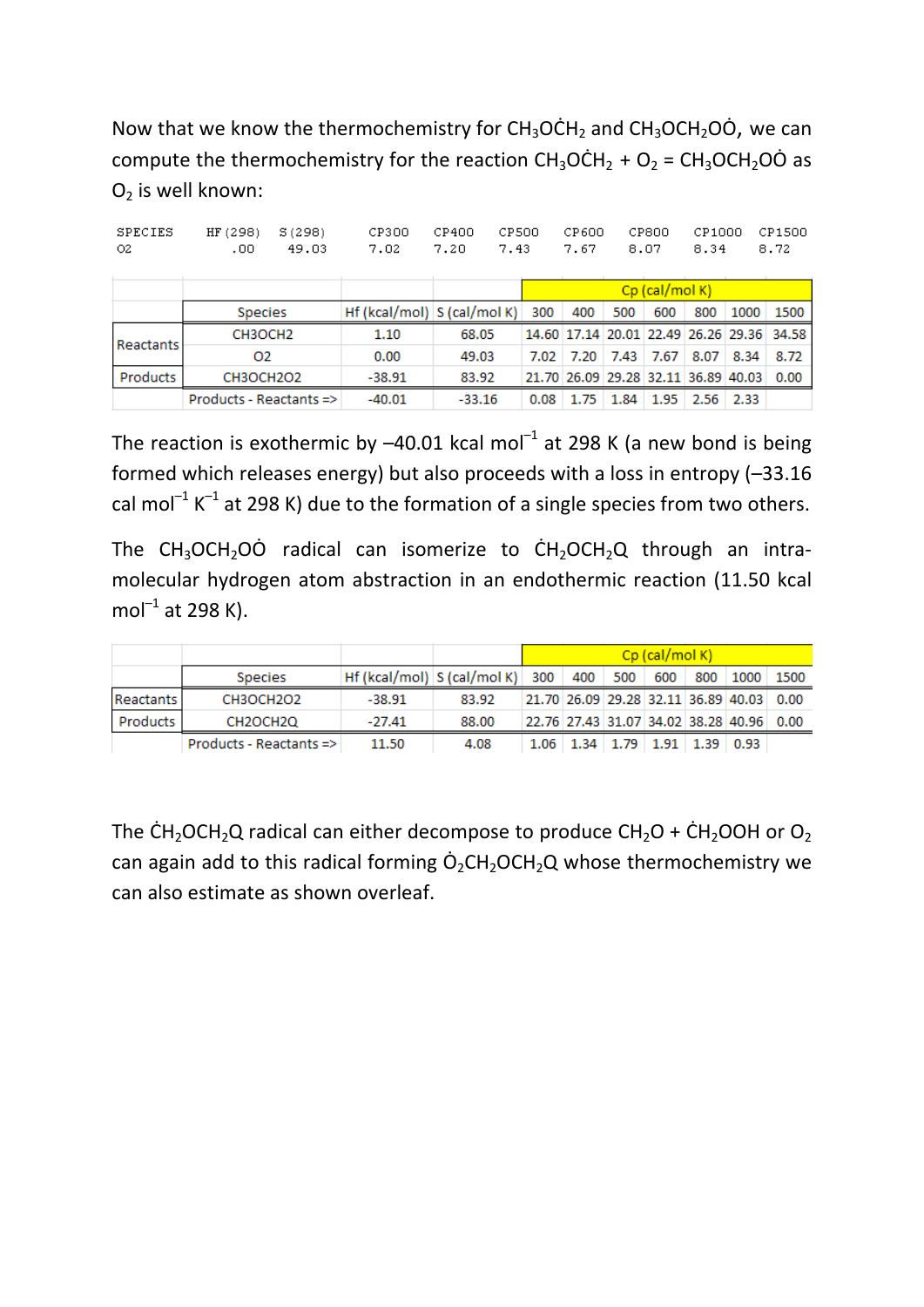Now that we know the thermochemistry for  $CH_3OCH_2$  and  $CH_3OCH_2O$ , we can compute the thermochemistry for the reaction  $CH_3OCH_2 + O_2 = CH_3OCH_2O\dot{O}$  as  $O<sub>2</sub>$  is well known:

| SPECIES<br>O2 | S(298)<br>HF (298)<br>.00<br>49.03 | CP300<br>7.02                  | CP400<br>7.20 | CP500<br>7.43 | CP600<br>7.67                       |           | CP800<br>8.07  | CP1000<br>8.34 |      | CP1500<br>8.72                            |
|---------------|------------------------------------|--------------------------------|---------------|---------------|-------------------------------------|-----------|----------------|----------------|------|-------------------------------------------|
|               |                                    |                                |               |               |                                     |           | Cp (cal/mol K) |                |      |                                           |
|               | <b>Species</b>                     | Hf (kcal/mol) $ S$ (cal/mol K) |               | 300           | 400                                 | 500       | 600            | 800            | 1000 | 1500                                      |
|               | CH3OCH <sub>2</sub>                | 1.10                           | 68.05         |               |                                     |           |                |                |      | 14.60 17.14 20.01 22.49 26.26 29.36 34.58 |
| Reactants     | 02                                 | 0.00                           | 49.03         | 7.02          |                                     | 7.20 7.43 | 7.67           | 8.07           | 8.34 | 8.72                                      |
| Products      | CH3OCH2O2                          | $-38.91$                       | 83.92         |               | 21.70 26.09 29.28 32.11 36.89 40.03 |           |                |                |      | 0.00                                      |
|               | Products - Reactants =>            | $-40.01$                       | $-33.16$      | 0.08          | 1.75                                | 1.84      | 1.95           | 2.56           | 2.33 |                                           |

The reaction is exothermic by  $-40.01$  kcal mol<sup>-1</sup> at 298 K (a new bond is being formed which releases energy) but also proceeds with a loss in entropy (–33.16 cal mol<sup>-1</sup> K<sup>-1</sup> at 298 K) due to the formation of a single species from two others.

The  $CH_3OCH_2O\dot{O}$  radical can isomerize to  $CH_2OCH_2O$  through an intramolecular hydrogen atom abstraction in an endothermic reaction (11.50 kcal  $mol^{-1}$  at 298 K).

|                 |                         |                                         |       | $Cp$ (cal/mol K) |  |  |  |                                           |                                          |  |
|-----------------|-------------------------|-----------------------------------------|-------|------------------|--|--|--|-------------------------------------------|------------------------------------------|--|
|                 | <b>Species</b>          | Hf (kcal/mol) S (cal/mol K) 300 400 500 |       |                  |  |  |  |                                           | 600 800 1000 1500                        |  |
| Reactants       | CH3OCH2O2               | $-38.91$                                | 83.92 |                  |  |  |  |                                           | 21.70 26.09 29.28 32.11 36.89 40.03 0.00 |  |
| <b>Products</b> | CH2OCH2Q                | $-27.41$                                | 88.00 |                  |  |  |  |                                           | 22.76 27.43 31.07 34.02 38.28 40.96 0.00 |  |
|                 | Products - Reactants => | 11.50                                   | 4.08  |                  |  |  |  | $1.06$   1.34   1.79   1.91   1.39   0.93 |                                          |  |

The CH<sub>2</sub>OCH<sub>2</sub>Q radical can either decompose to produce CH<sub>2</sub>O + CH<sub>2</sub>OOH or O<sub>2</sub> can again add to this radical forming  $\dot{O}_2CH_2OCH_2Q$  whose thermochemistry we can also estimate as shown overleaf.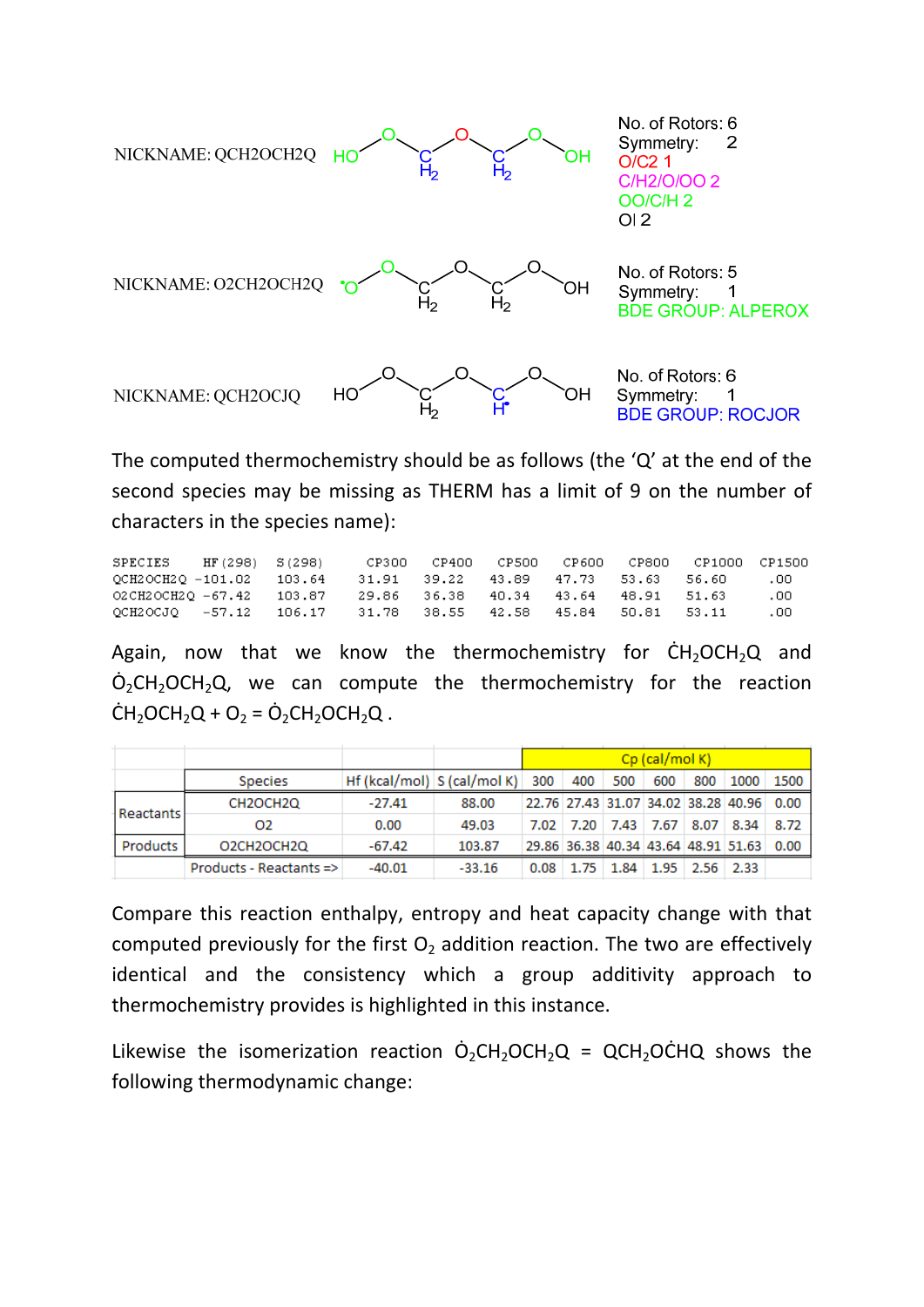

The computed thermochemistry should be as follows (the 'Q' at the end of the second species may be missing as THERM has a limit of 9 on the number of characters in the species name):

| SPECIES HF (298) S (298)                                     |  |  |  | CP300 CP400 CP500 CP600 CP800 CP1000 CP1500 |     |
|--------------------------------------------------------------|--|--|--|---------------------------------------------|-----|
| QCH2OCH2Q -101.02 103.64 31.91 39.22 43.89 47.73 53.63 56.60 |  |  |  |                                             | .00 |
| 02CH2OCH2O -67.42 103.87 29.86 36.38 40.34 43.64 48.91 51.63 |  |  |  |                                             | .00 |
| OCH2OCJO -57.12 106.17 31.78 38.55 42.58 45.84 50.81 53.11   |  |  |  |                                             | .00 |

Again, now that we know the thermochemistry for  $CH<sub>2</sub>OCH<sub>2</sub>Q$  and  $O<sub>2</sub>CH<sub>2</sub>OCH<sub>2</sub>Q$ , we can compute the thermochemistry for the reaction  $CH_2OCH_2Q + O_2 = O_2CH_2OCH_2Q$ .

|           |                         |                              |          |      |     |     | $Cp$ (cal/mol K) |                                          |                                     |      |
|-----------|-------------------------|------------------------------|----------|------|-----|-----|------------------|------------------------------------------|-------------------------------------|------|
|           | <b>Species</b>          | $Hf(kcal/mol)$ S (cal/mol K) |          | 300  | 400 | 500 | 600              | 800                                      | 1000                                | 1500 |
| Reactants | CH2OCH2Q                | $-27.41$                     | 88.00    |      |     |     |                  |                                          | 22.76 27.43 31.07 34.02 38.28 40.96 | 0.00 |
|           | O <sub>2</sub>          | 0.00                         | 49.03    |      |     |     |                  | 7.02 7.20 7.43 7.67 8.07 8.34            |                                     | 8.72 |
| Products  | O2CH2OCH2Q              | $-67.42$                     | 103.87   |      |     |     |                  |                                          | 29.86 36.38 40.34 43.64 48.91 51.63 | 0.00 |
|           | Products - Reactants => | $-40.01$                     | $-33.16$ | 0.08 |     |     |                  | $1.75$   $1.84$   $1.95$   $2.56$   2.33 |                                     |      |

Compare this reaction enthalpy, entropy and heat capacity change with that computed previously for the first  $O<sub>2</sub>$  addition reaction. The two are effectively identical and the consistency which a group additivity approach to thermochemistry provides is highlighted in this instance.

Likewise the isomerization reaction  $\dot{\mathsf{O}}_2\mathsf{CH}_2\mathsf{OCH}_2\mathsf{Q}$  = QCH<sub>2</sub>OCHQ shows the following thermodynamic change: